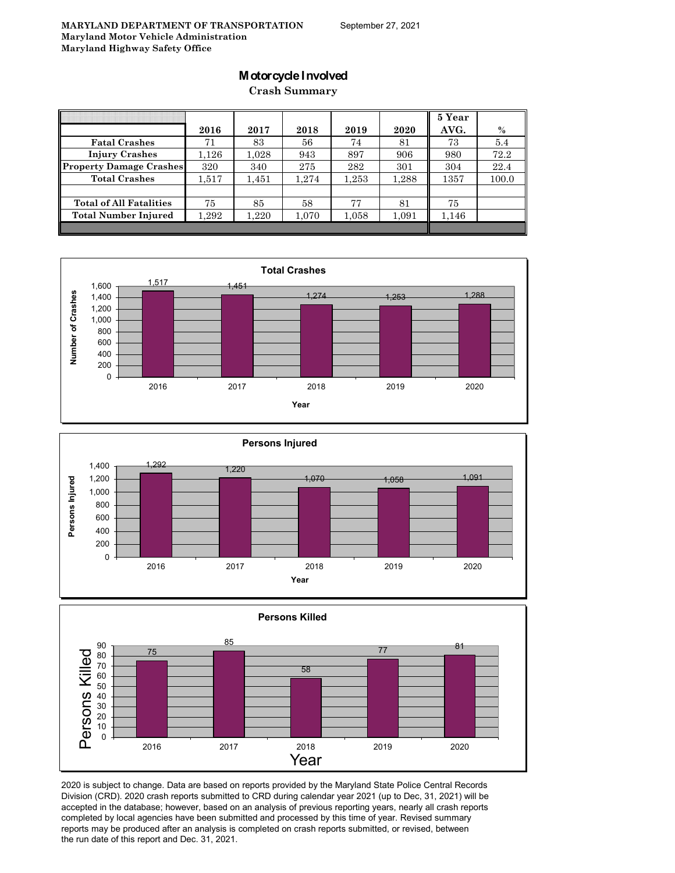# **Motorcycle Involved**

**Crash Summary**

|                                |           |       |       |       |       | 5 Year |       |
|--------------------------------|-----------|-------|-------|-------|-------|--------|-------|
|                                | 2016      | 2017  | 2018  | 2019  | 2020  | AVG.   | $\%$  |
| <b>Fatal Crashes</b>           | 71        | 83    | 56    | 74    | 81    | 73     | 5.4   |
| <b>Injury Crashes</b>          | $1.126\,$ | 1.028 | 943   | 897   | 906   | 980    | 72.2  |
| <b>Property Damage Crashes</b> | 320       | 340   | 275   | 282   | 301   | 304    | 22.4  |
| <b>Total Crashes</b>           | 1,517     | 1,451 | 1,274 | 1,253 | 1,288 | 1357   | 100.0 |
|                                |           |       |       |       |       |        |       |
| <b>Total of All Fatalities</b> | 75        | 85    | 58    | 77    | 81    | 75     |       |
| <b>Total Number Injured</b>    | $1.292\,$ | 1,220 | 1,070 | 1,058 | 1,091 | 1,146  |       |
|                                |           |       |       |       |       |        |       |







2020 is subject to change. Data are based on reports provided by the Maryland State Police Central Records Division (CRD). 2020 crash reports submitted to CRD during calendar year 2021 (up to Dec, 31, 2021) will be accepted in the database; however, based on an analysis of previous reporting years, nearly all crash reports completed by local agencies have been submitted and processed by this time of year. Revised summary reports may be produced after an analysis is completed on crash reports submitted, or revised, between the run date of this report and Dec. 31, 2021.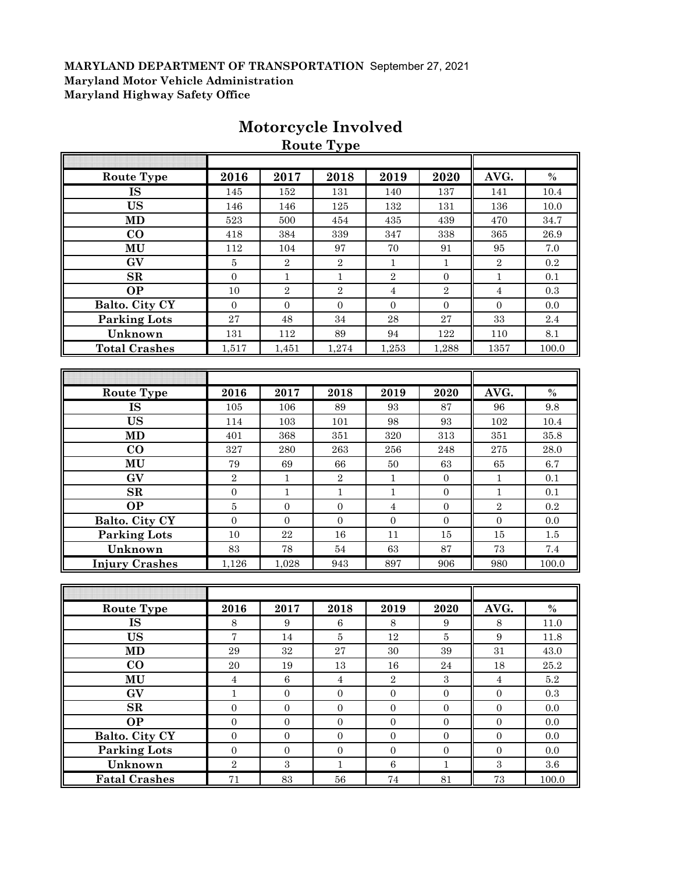|                        |                   |                  | <b>Route Type</b> |                |                |                |          |
|------------------------|-------------------|------------------|-------------------|----------------|----------------|----------------|----------|
|                        |                   |                  |                   |                |                |                |          |
| <b>Route Type</b>      | 2016              | 2017             | 2018              | 2019           | 2020           | AVG.           | $\%$     |
| <b>IS</b>              | 145               | 152              | 131               | 140            | 137            | 141            | 10.4     |
| <b>US</b>              | 146               | 146              | $125\,$           | $132\,$        | 131            | 136            | 10.0     |
| <b>MD</b>              | 523               | 500              | 454               | 435            | 439            | 470            | 34.7     |
| CO                     | 418               | 384              | 339               | 347            | 338            | 365            | 26.9     |
| MU                     | 112               | 104              | 97                | 70             | 91             | 95             | 7.0      |
| GV                     | 5                 | $\overline{2}$   | $\overline{2}$    | $\mathbf{1}$   | $\mathbf{1}$   | $\sqrt{2}$     | 0.2      |
| SR                     | $\Omega$          | $\mathbf{1}$     | $\mathbf{1}$      | $\overline{2}$ | $\Omega$       | $\mathbf{1}$   | 0.1      |
| $\overline{OP}$        | 10                | $\sqrt{2}$       | $\sqrt{2}$        | $\overline{4}$ | $\sqrt{2}$     | $\overline{4}$ | 0.3      |
| Balto. City CY         | $\overline{0}$    | $\boldsymbol{0}$ | $\boldsymbol{0}$  | $\overline{0}$ | $\overline{0}$ | $\overline{0}$ | 0.0      |
| <b>Parking Lots</b>    | 27                | 48               | 34                | 28             | 27             | 33             | 2.4      |
| Unknown                | 131               | 112              | 89                | 94             | 122            | 110            | 8.1      |
| <b>Total Crashes</b>   | 1,517             | 1,451            | 1,274             | 1,253          | 1,288          | 1357           | 100.0    |
|                        |                   |                  |                   |                |                |                |          |
|                        |                   |                  |                   |                |                |                |          |
| <b>Route Type</b>      | 2016              | 2017             | 2018              | 2019           | 2020           | AVG.           | $\%$     |
| $\overline{\text{IS}}$ | 105               | 106              | 89                | 93             | 87             | 96             | 9.8      |
| <b>US</b>              | 114               | 103              | 101               | 98             | 93             | 102            | 10.4     |
| <b>MD</b>              | 401               | 368              | 351               | 320            | 313            | 351            | 35.8     |
| $\bf CO$               | 327               | 280              | 263               | 256            | 248            | $275\,$        | 28.0     |
| MU                     | $\boldsymbol{79}$ | 69               | 66                | $50\,$         | 63             | 65             | 6.7      |
| GV                     | $\sqrt{2}$        | $\mathbf{1}$     | $\,2$             | $\mathbf{1}$   | $\overline{0}$ | $1\,$          | 0.1      |
| SR                     | $\mathbf{0}$      | $\mathbf{1}$     | $\mathbf{1}$      | $\mathbf{1}$   | $\overline{0}$ | $\mathbf{1}$   | 0.1      |
| <b>OP</b>              | 5                 | $\overline{0}$   | $\overline{0}$    | $\overline{4}$ | $\overline{0}$ | $\sqrt{2}$     | 0.2      |
| Balto. City CY         | $\overline{0}$    | $\overline{0}$   | $\overline{0}$    | $\overline{0}$ | $\overline{0}$ | $\overline{0}$ | 0.0      |
| <b>Parking Lots</b>    | 10                | 22               | 16                | 11             | 15             | 15             | $1.5\,$  |
| Unknown                | 83                | 78               | $54\,$            | 63             | 87             | 73             | $7.4\,$  |
| <b>Injury Crashes</b>  | 1,126             | 1,028            | 943               | 897            | 906            | 980            | 100.0    |
|                        |                   |                  |                   |                |                |                |          |
|                        |                   |                  |                   |                |                |                |          |
| <b>Route Type</b>      | 2016              | 2017             | 2018              | 2019           | 2020           | AVG.           | $\%$     |
| <b>IS</b>              | $\,8\,$           | 9                | 6                 | 8              | 9              | 8              | 11.0     |
| <b>US</b>              | $\overline{7}$    | 14               | $\bf 5$           | 12             | $\bf 5$        | 9              | 11.8     |
| <b>MD</b>              | $\rm 29$          | $32\,$           | $\sqrt{27}$       | 30             | $39\,$         | 31             | 43.0     |
| $\bf CO$               | $20\,$            | $19\,$           | 13                | $16\,$         | $\sqrt{24}$    | 18             | $25.2\,$ |
| MU                     | $\overline{4}$    | $\overline{6}$   | $\overline{4}$    | $\overline{2}$ | $\overline{3}$ | $\overline{4}$ | $5.2\,$  |

**GV** 1 0 0 0 0 0 0 0.3 **SR** 0 0 0 0 0 0 0.0 **OP** 0 0 0 0 0 0 0.0 **Balto. City CY** 0 0 0 0 0 0 0.0 **Parking Lots** 0 0 0 0 0 0 0.0 **Unknown** 2 3 3 1 6 1 3 3.6 **Fatal Crashes** 71 83 56 74 81 73 100.0

# **Motorcycle Involved**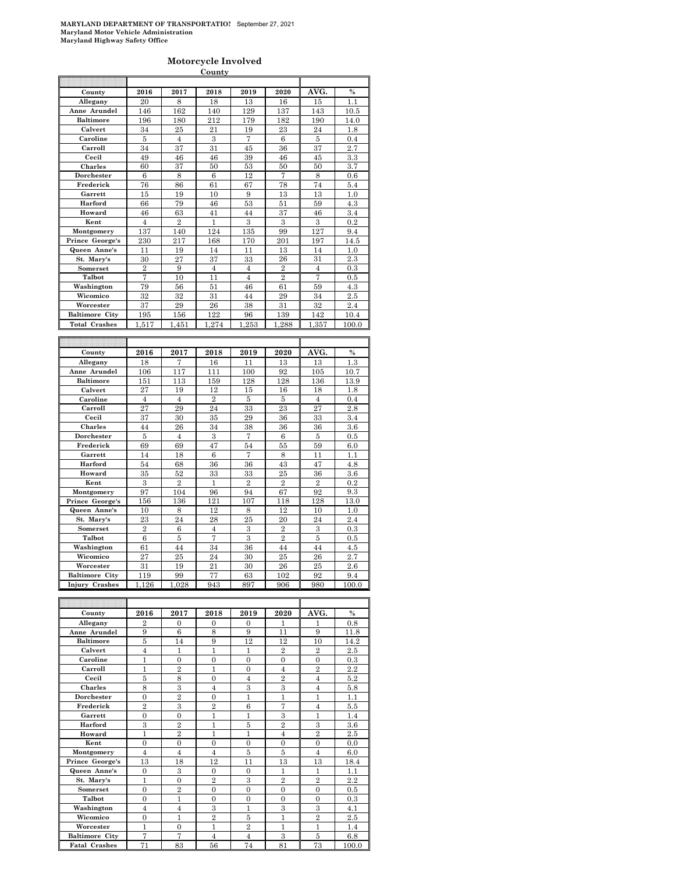#### **Motorcycle Involved**

|                       |                |                  | County         |                  |                |                |          |
|-----------------------|----------------|------------------|----------------|------------------|----------------|----------------|----------|
|                       |                |                  |                |                  |                |                |          |
| County                | 2016           | 2017             | 2018           | 2019             | 2020           | AVG.           | $\%$     |
| Allegany              | 20             | 8                | 18             | 13               | 16             | 15             | 1.1      |
| Anne Arundel          | 146            | 162              | 140            | 129              | 137            | 143            | 10.5     |
| <b>Baltimore</b>      | 196            | 180              | 212            | 179              | 182            | 190            | 14.0     |
| Calvert               | 34             | 25               | 21             | 19               | 23             | 24             | 1.8      |
| Caroline              | 5              | $\overline{4}$   | 3              | 7                | 6              | 5              | 0.4      |
|                       |                |                  |                |                  |                |                |          |
| Carroll               | 34             | 37               | 31             | 45               | 36             | 37             | 2.7      |
| Cecil                 | 49             | 46               | 46             | 39               | 46             | 45             | 3.3      |
| Charles               | 60             | 37               | 50             | 53               | 50             | 50             | 3.7      |
| Dorchester            | 6              | 8                | 6              | 12               | 7              | 8              | 0.6      |
| Frederick             | 76             | 86               | 61             | 67               | 78             | 74             | 5.4      |
| Garrett               | 15             | 19               | 10             | 9                | 13             | 13             | 1.0      |
| Harford               | 66             | 79               | 46             | 53               | 51             | 59             | 4.3      |
| Howard                | 46             | 63               | 41             | 44               | 37             | 46             | 3.4      |
| Kent                  | $\overline{4}$ | $\overline{2}$   | 1              | 3                | 3              | 3              | 0.2      |
| Montgomery            | 137            | 140              | 124            | 135              | 99             | 127            | 9.4      |
| Prince George's       | 230            | 217              | 168            | 170              | 201            | 197            | 14.5     |
| Queen Anne's          | 11             | 19               | 14             | 11               | 13             | 14             | 1.0      |
|                       |                |                  |                |                  |                |                |          |
| St. Mary's            | 30             | 27               | 37             | 33               | 26             | 31             | 2.3      |
| Somerset              | $\overline{2}$ | 9                | $\overline{4}$ | $\overline{4}$   | $\overline{2}$ | $\overline{4}$ | $_{0.3}$ |
| Talbot                | 7              | 10               | 11             | $\overline{4}$   | $\overline{2}$ | 7              | 0.5      |
| Washington            | 79             | 56               | 51             | 46               | 61             | 59             | 4.3      |
| Wicomico              | 32             | 32               | 31             | 44               | 29             | 34             | 2.5      |
| Worcester             | 37             | 29               | 26             | 38               | 31             | 32             | 2.4      |
| <b>Baltimore City</b> | 195            | 156              | 122            | 96               | 139            | 142            | 10.4     |
| <b>Total Crashes</b>  | 1,517          | 1,451            | 1.274          | 1,253            | 1,288          | 1,357          | 100.0    |
|                       |                |                  |                |                  |                |                |          |
|                       |                |                  |                |                  |                |                |          |
| County                | 2016           | 2017             | 2018           | 2019             | 2020           | AVG.           | $\%$     |
|                       |                |                  |                |                  |                |                |          |
|                       |                |                  |                |                  |                |                |          |
| Allegany              | 18             | 7                | 16             | 11               | 13             | 13             | 1.3      |
| Anne Arundel          | 106            | 117              | 111            | 100              | 92             | 105            | 10.7     |
| <b>Baltimore</b>      | 151            | 113              | 159            | 128              | 128            | 136            | 13.9     |
| Calvert               | 27             | 19               | 12             | 15               | 16             | 18             | 1.8      |
| Caroline              | $\overline{4}$ | $\overline{4}$   | $\overline{2}$ | 5                | 5              | $\overline{4}$ | 0.4      |
| Carroll               | 27             | 29               | 24             | 33               | 23             | 27             | 2.8      |
| Cecil                 | 37             | 30               | 35             | 29               | 36             | 33             | 3.4      |
| Charles               | 44             | 26               | 34             | 38               | 36             | 36             | $_{3.6}$ |
| Dorchester            | 5              | $\overline{4}$   | 3              | $\overline{7}$   | 6              | 5              | 0.5      |
| Frederick             |                |                  |                |                  |                |                |          |
|                       | 69             | 69               | 47             | 54               | 55             | 59             | 6.0      |
| Garrett               | 14             | 18               | 6              | $\overline{7}$   | 8              | 11             | 1.1      |
| Harford               | 54             | 68               | 36             | 36               | 43             | 47             | 4.8      |
| Howard                | 35             | 52               | 33             | 33               | 25             | 36             | $_{3.6}$ |
| Kent                  | 3              | $\overline{2}$   | $\mathbf{1}$   | $\overline{2}$   | $\overline{2}$ | $\overline{2}$ | 0.2      |
| Montgomery            | 97             | 104              | 96             | 94               | 67             | 92             | 9.3      |
| Prince George's       | 156            | 136              | 121            | 107              | 118            | 128            | 13.0     |
| Queen Anne's          | 10             | 8                | 12             | 8                | 12             | 10             | 1.0      |
| St. Marv's            | 23             | 24               | 28             | 25               | 20             | 24             | 2.4      |
| Somerset              | $\overline{2}$ | 6                | 4              | 3                | $\overline{2}$ | 3              | 0.3      |
| Talbot                | 6              | 5                | 7              | 3                | $\overline{2}$ | 5              | 0.5      |
| Washington            | 61             | 44               | 34             | 36               | 44             | 44             | 4.5      |
| Wicomico              | 27             | 25               | 24             | 30               | 25             | 26             | 2.7      |
| Worcester             | 31             | 19               |                |                  |                |                | $^{2.6}$ |
|                       |                |                  | 21             | 30               | 26             | 25             |          |
| <b>Baltimore City</b> | 119            | 99               | 77             | 63               | 102            | 92             | 9.4      |
| <b>Injury Crashes</b> | 1.126          | 1,028            | 943            | 897              | 906            | 980            | 100.0    |
|                       |                |                  |                |                  |                |                |          |
|                       |                |                  |                |                  |                |                |          |
| County                | 2016           | 2017             | 2018           | 2019             | 2020           | AVG.           | $\%$     |
| Allegany              | $\overline{2}$ | $\boldsymbol{0}$ | 0              | $\boldsymbol{0}$ | 1              | 1              | 0.8      |
| Anne Arundel          | 9              | 6                | 8              | 9                | 11             | 9              | 11.8     |
| <b>Baltimore</b>      | 5              | 14               | 9              | 12               | 12             | 10             | 14.2     |

| Anne Arundel          | 9              | 6              | 8              | 9              | 11             | 9              | 11.8    |
|-----------------------|----------------|----------------|----------------|----------------|----------------|----------------|---------|
| <b>Baltimore</b>      | 5              | 14             | 9              | 12             | 12             | 10             | 14.2    |
| Calvert               | $\overline{4}$ | 1              | 1              | 1              | $\overline{2}$ | $\overline{2}$ | 2.5     |
| Caroline              | 1              | $\theta$       | $\theta$       | $\theta$       | $\theta$       | $\theta$       | 0.3     |
| Carroll               | 1              | $\overline{2}$ | 1              | $\Omega$       | $\overline{4}$ | $\overline{2}$ | 2.2     |
| Cecil                 | 5              | 8              | $\overline{0}$ | $\overline{4}$ | $\overline{2}$ | $\overline{4}$ | 5.2     |
| <b>Charles</b>        | 8              | 3              | $\overline{4}$ | 3              | 3              | $\overline{4}$ | 5.8     |
| Dorchester            | $\overline{0}$ | $\overline{2}$ | $\Omega$       | 1              | 1              | 1              | 1.1     |
| Frederick             | $\overline{2}$ | 3              | $\overline{2}$ | 6              | 7              | $\overline{4}$ | 5.5     |
| Garrett               | $\Omega$       | $\Omega$       | 1              | 1              | 3              | 1              | 1.4     |
| Harford               | 3              | $\overline{2}$ | 1              | 5              | $\overline{2}$ | 3              | $3.6\,$ |
| Howard                | 1              | $\overline{2}$ | $\mathbf{1}$   | 1              | $\overline{4}$ | $\overline{2}$ | 2.5     |
| Kent                  | $\theta$       | $\theta$       | $\theta$       | $\Omega$       | $\theta$       | $\overline{0}$ | 0.0     |
| Montgomery            | $\overline{4}$ | $\overline{4}$ | $\overline{4}$ | 5              | 5              | $\overline{4}$ | 6.0     |
| Prince George's       | 13             | 18             | 12             | 11             | 13             | 13             | 18.4    |
| Queen Anne's          | $\mathbf{0}$   | 3              | $\Omega$       | $\Omega$       | 1              | 1              | 1.1     |
| St. Mary's            | 1              | $\theta$       | $\overline{2}$ | 3              | $\overline{2}$ | $\overline{2}$ | 2.2     |
| Somerset              | $\Omega$       | $\overline{2}$ | $\Omega$       | $\theta$       | $\theta$       | $\overline{0}$ | 0.5     |
| Talbot                | $\mathbf{0}$   | 1              | $\mathbf{0}$   | $\Omega$       | $\theta$       | $\overline{0}$ | 0.3     |
| Washington            | $\overline{4}$ | $\overline{4}$ | 3              | 1              | 3              | 3              | 4.1     |
| Wicomico              | $\overline{0}$ | 1              | $\overline{2}$ | 5              | 1              | $\overline{2}$ | 2.5     |
| Worcester             | 1              | $\mathbf{0}$   | 1              | $\overline{2}$ | 1              | 1              | 1.4     |
| <b>Baltimore City</b> | 7              | 7              | $\overline{4}$ | $\overline{4}$ | 3              | 5              | 6.8     |
| <b>Fatal Crashes</b>  | 71             | 83             | 56             | 74             | 81             | 73             | 100.0   |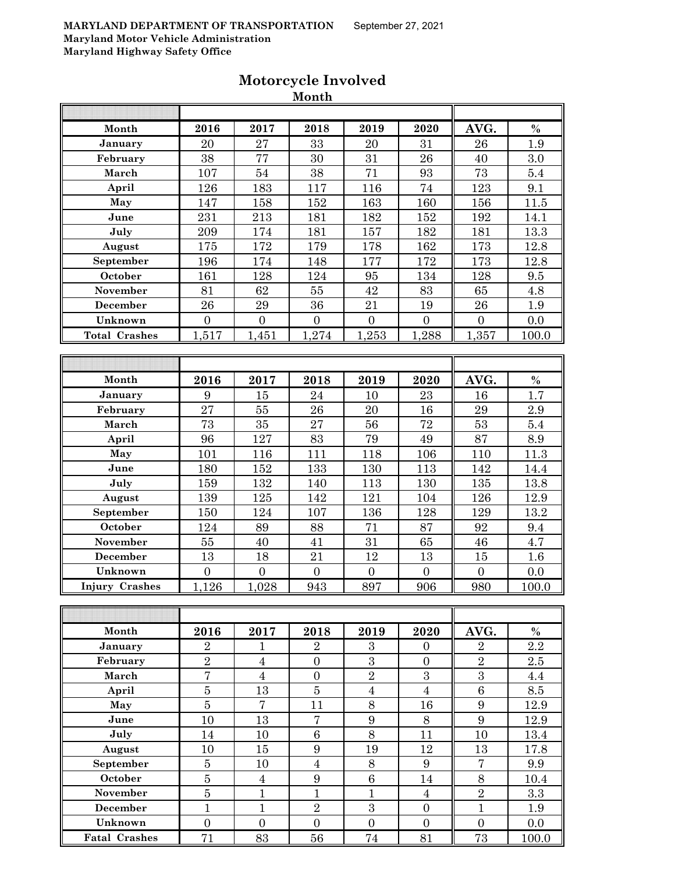|                       |                  |                  | Month            |                  |                  |                  |         |
|-----------------------|------------------|------------------|------------------|------------------|------------------|------------------|---------|
|                       |                  |                  |                  |                  |                  |                  |         |
| Month                 | 2016             | 2017             | 2018             | 2019             | 2020             | AVG.             | $\%$    |
| January               | 20               | 27               | 33               | 20               | 31               | 26               | 1.9     |
| February              | 38               | 77               | 30               | 31               | 26               | 40               | 3.0     |
| March                 | 107              | 54               | 38               | 71               | 93               | 73               | 5.4     |
| April                 | 126              | 183              | 117              | 116              | 74               | 123              | 9.1     |
| May                   | 147              | 158              | 152              | 163              | 160              | 156              | 11.5    |
| June                  | 231              | 213              | 181              | 182              | 152              | 192              | 14.1    |
| July                  | 209              | 174              | 181              | 157              | 182              | 181              | 13.3    |
| August                | 175              | 172              | 179              | 178              | 162              | 173              | 12.8    |
| September             | 196              | 174              | 148              | 177              | 172              | 173              | 12.8    |
| October               | 161              | 128              | 124              | 95               | 134              | 128              | 9.5     |
| November              | 81               | 62               | 55               | 42               | 83               | 65               | 4.8     |
| December              | 26               | 29               | 36               | 21               | 19               | 26               | 1.9     |
| Unknown               | $\overline{0}$   | $\mathbf{0}$     | $\boldsymbol{0}$ | $\overline{0}$   | $\boldsymbol{0}$ | $\boldsymbol{0}$ | 0.0     |
| <b>Total Crashes</b>  | 1,517            | 1,451            | 1,274            | 1,253            | 1,288            | 1,357            | 100.0   |
|                       |                  |                  |                  |                  |                  |                  |         |
|                       |                  |                  |                  |                  |                  |                  |         |
| Month                 | 2016             | 2017             | 2018             | 2019             | 2020             | AVG.             | $\%$    |
| January               | 9                | 15               | 24               | 10               | 23               | 16               | 1.7     |
| February              | 27               | $55\,$           | 26               | 20               | 16               | 29               | 2.9     |
| March                 | 73               | 35               | 27               | 56               | 72               | 53               | 5.4     |
| April                 | 96               | 127              | 83               | 79               | 49               | 87               | 8.9     |
| May                   | 101              | 116              | 111              | 118              | 106              | 110              | 11.3    |
| June                  | 180              | 152              | 133              | 130              | 113              | 142              | 14.4    |
| July                  | 159              | 132              | 140              | 113              | 130              | 135              | 13.8    |
| August                | 139              | 125              | 142              | 121              | 104              | 126              | 12.9    |
| September             | 150              | 124              | 107              | 136              | 128              | 129              | 13.2    |
| October               | 124              | 89               | 88               | 71               | 87               | 92               | 9.4     |
| November              | 55               | 40               | 41               | 31               | 65               | 46               | 4.7     |
| December              | 13               | 18               | 21               | 12               | 13               | 15               | 1.6     |
| Unknown               | $\boldsymbol{0}$ | $\boldsymbol{0}$ | $\overline{0}$   | $\overline{0}$   | $\boldsymbol{0}$ | $\boldsymbol{0}$ | 0.0     |
| <b>Injury Crashes</b> | 1,126            | 1,028            | 943              | 897              | 906              | 980              | 100.0   |
|                       |                  |                  |                  |                  |                  |                  |         |
|                       |                  |                  |                  |                  |                  |                  |         |
| Month                 | 2016             | 2017             | 2018             | 2019             | 2020             | AVG.             | $\%$    |
| January               | $\overline{2}$   | 1                | $\overline{2}$   | $\boldsymbol{3}$ | $\boldsymbol{0}$ | $\overline{2}$   | 2.2     |
| February              | $\overline{2}$   | $\bf 4$          | $\boldsymbol{0}$ | $\sqrt{3}$       | $\boldsymbol{0}$ | $\overline{2}$   | $2.5\,$ |
| March                 | $\overline{7}$   | $\sqrt{4}$       | $\boldsymbol{0}$ | $\sqrt{2}$       | $\boldsymbol{3}$ | $\overline{3}$   | 4.4     |
| April                 | $\bf 5$          | 13               | $\bf 5$          | $\sqrt{4}$       | $\overline{4}$   | $\,6$            | 8.5     |
| May                   | $\overline{5}$   | $\overline{7}$   | 11               | 8                | 16               | $9\phantom{.}$   | 12.9    |
| June                  | 10               | 13               | $\overline{7}$   | 9                | $8\,$            | 9                | 12.9    |
| July                  | 14               | 10               | $\,6$            | 8                | 11               | 10               | 13.4    |
| August                | 10               | 15               | $\boldsymbol{9}$ | 19               | 12               | 13               | 17.8    |
| September             | $\bf 5$          | 10               | $\overline{4}$   | 8                | $9\phantom{.0}$  | $\overline{7}$   | 9.9     |
| October               | $\overline{5}$   | $\overline{4}$   | $\boldsymbol{9}$ | $\,6$            | 14               | 8                | 10.4    |
| November              | $\overline{5}$   | $\mathbf{1}$     | $\overline{1}$   | $\mathbf{1}$     | $\overline{4}$   | $\overline{2}$   | 3.3     |
| <b>December</b>       | $\mathbf{1}$     | $\mathbf{1}$     | $\sqrt{2}$       | $\sqrt{3}$       | $\boldsymbol{0}$ | $\mathbf{1}$     | 1.9     |
| Unknown               | $\overline{0}$   | $\overline{0}$   | $\overline{0}$   | $\overline{0}$   | $\overline{0}$   | $\overline{0}$   | 0.0     |
| <b>Fatal Crashes</b>  | 71               | 83               | 56               | 74               | 81               | 73               | 100.0   |
|                       |                  |                  |                  |                  |                  |                  |         |

# **Motorcycle Involved**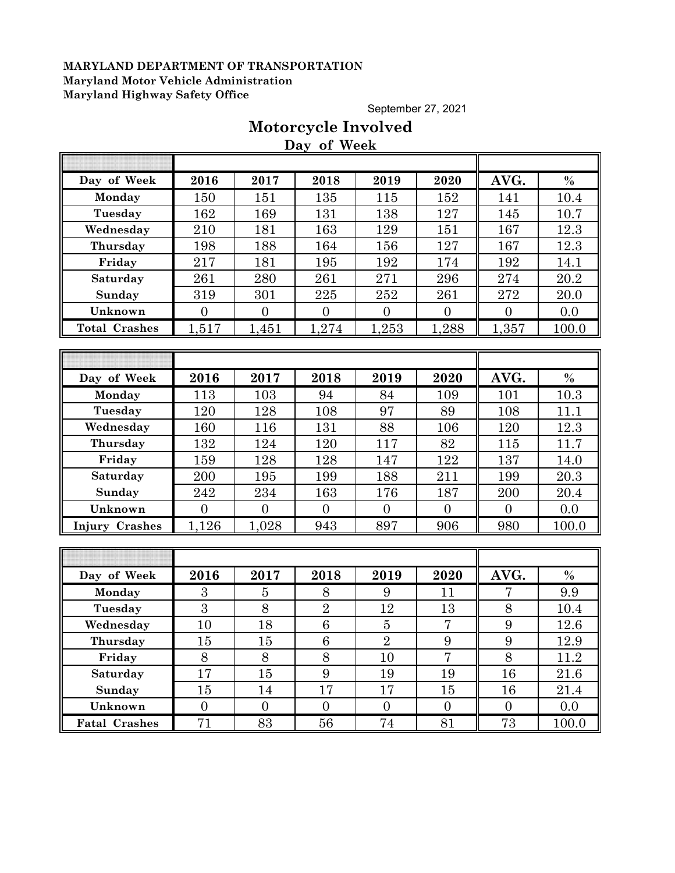September 27, 2021

# **Motorcycle Involved Day of Week**

| Day of Week           | 2016             | 2017           | 2018            | 2019           | 2020             | AVG.           | $\%$          |
|-----------------------|------------------|----------------|-----------------|----------------|------------------|----------------|---------------|
| Monday                | 150              | 151            | 135             | 115            | 152              | 141            | 10.4          |
| Tuesday               | 162              | 169            | 131             | 138            | 127              | 145            | 10.7          |
| Wednesday             | 210              | 181            | 163             | 129            | 151              | 167            | 12.3          |
| Thursday              | 198              | 188            | 164             | 156            | 127              | 167            | 12.3          |
| Friday                | 217              | 181            | 195             | 192            | 174              | 192            | 14.1          |
| Saturday              | 261              | 280            | 261             | 271            | 296              | 274            | 20.2          |
| Sunday                | 319              | 301            | 225             | 252            | 261              | 272            | 20.0          |
| Unknown               | $\overline{0}$   | $\overline{0}$ | $\overline{0}$  | $\overline{0}$ | $\overline{0}$   | $\overline{0}$ | 0.0           |
| <b>Total Crashes</b>  | 1,517            | 1,451          | 1,274           | 1,253          | 1,288            | 1,357          | 100.0         |
|                       |                  |                |                 |                |                  |                |               |
|                       |                  |                |                 |                |                  |                |               |
| Day of Week           | 2016             | 2017           | 2018            | 2019           | 2020             | AVG.           | $\%$          |
| Monday                | 113              | 103            | 94              | 84             | 109              | 101            | 10.3          |
| Tuesday               | 120              | 128            | 108             | 97             | 89               | 108            | 11.1          |
| Wednesday             | 160              | 116            | 131             | 88             | 106              | 120            | 12.3          |
| Thursday              | 132              | 124            | 120             | 117            | 82               | 115            | 11.7          |
| Friday                | 159              | 128            | 128             | 147            | 122              | 137            | 14.0          |
| Saturday              | 200              | 195            | 199             | 188            | 211              | 199            | 20.3          |
| Sunday                | 242              | 234            | 163             | 176            | 187              | 200            | 20.4          |
| Unknown               | $\overline{0}$   | $\overline{0}$ | $\overline{0}$  | $\overline{0}$ | $\overline{0}$   | $\overline{0}$ | 0.0           |
| <b>Injury Crashes</b> | 1,126            | 1,028          | 943             | 897            | 906              | 980            | 100.0         |
|                       |                  |                |                 |                |                  |                |               |
|                       |                  |                |                 |                |                  |                |               |
| Day of Week           | 2016             | 2017           | 2018            | 2019           | 2020             | AVG.           | $\frac{0}{0}$ |
| Monday                | 3                | $\overline{5}$ | 8               | 9              | 11               | 7              | 9.9           |
| Tuesday               | 3                | 8              | $\overline{2}$  | 12             | 13               | 8              | 10.4          |
| Wednesday             | 10               | 18             | $6\phantom{.}6$ | $\overline{5}$ | $\overline{7}$   | 9              | 12.6          |
| Thursday              | 15               | 15             | 6               | $\overline{2}$ | 9                | 9              | 12.9          |
| Friday                | $8\,$            | 8              | $8\,$           | 10             | $\overline{7}$   | 8              | 11.2          |
| Saturday              | 17               | 15             | 9               | 19             | 19               | 16             | 21.6          |
| Sunday                | 15               | 14             | 17              | 17             | 15               | 16             | $21.4\,$      |
| Unknown               | $\boldsymbol{0}$ | $\overline{0}$ | $\overline{0}$  | $\overline{0}$ | $\boldsymbol{0}$ | $\overline{0}$ | 0.0           |
| Fatal Crashes         | 71               | 83             | 56              | 74             | 81               | 73             | 100.0         |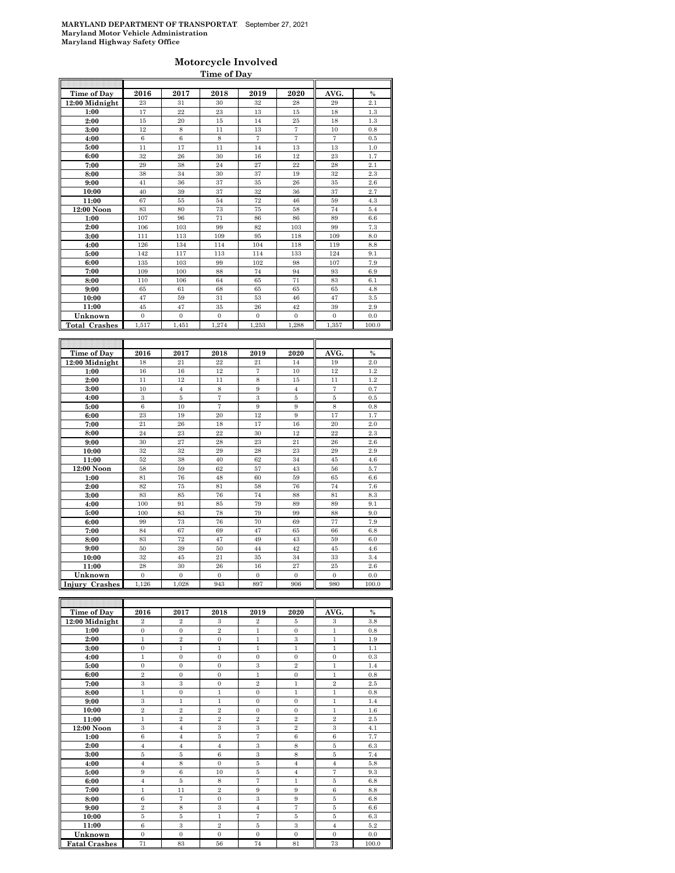### **Motorcycle Involved Time of Day**

| Time of Day          | 2016             | 2017                 | 2018              | 2019              | 2020                 | AVG.             | $\frac{0}{0}$        |
|----------------------|------------------|----------------------|-------------------|-------------------|----------------------|------------------|----------------------|
| 12:00 Midnight       | 23               | 31                   | 30                | 32                | 28                   | 29               | 2.1                  |
| 1:00                 | 17               | 22                   | 23                | 13                | 15                   | 18               | $1.3\,$              |
| 2:00                 | 15               | 20                   | 15                | 14                | 25                   | 18               | 1.3                  |
| 3:00                 | 12               | $\,$ 8 $\,$          | 11                | 13                | $\scriptstyle{7}$    | 10               | 0.8                  |
| 4:00                 | 6                | 6                    | 8                 | $\overline{7}$    | $\overline{7}$       | 7                | 0.5                  |
| 5:00                 | 11               | 17                   | 11                | 14                | 13                   | 13               | 1.0                  |
| 6:00                 | 32               | 26                   | 30                | 16                | 12                   | 23               | 1.7                  |
| 7:00                 | 29               | 38                   | 24                | 27                | 22                   | 28               | 2.1                  |
| 8:00                 | 38               | 34                   | 30                | 37                | 19                   | 32               | 2.3                  |
| 9:00                 | 41               | 36                   | 37                | 35                | 26                   | 35               | $2.6\,$              |
| 10:00                | 40               | 39                   | 37                | 32                | 36                   | 37               | 2.7                  |
| 11:00                | 67               | 55                   | 54                | 72                | 46                   | 59               | 4.3                  |
| 12:00 Noon           | 83               | 80                   | 73                | 75                | 58                   | 74               | 5.4                  |
| 1:00                 | 107              | 96                   | 71                | 86                | 86                   | 89               | 6.6                  |
| 2:00                 | 106              | 103                  | 99                | 82                | 103                  | 99               | 7.3                  |
| 3:00                 | 111              | 113                  | 109               | 95                | 118                  | 109              | 8.0                  |
| 4:00                 | 126              | 134                  | 114               | 104               | 118                  | 119              | 8.8                  |
| 5:00                 | 142              | 117                  | 113               | 114               | 133                  | 124              | 9.1                  |
| 6:00                 | 135              | 103                  | 99                | 102               | 98                   | 107              | 7.9                  |
| 7:00                 | 109              | 100                  | 88                | 74                | 94                   | 93               | 6.9                  |
| 8:00                 | 110              | 106                  | 64                | 65                | 71                   | 83               | 6.1                  |
| 9:00                 | 65               | 61                   | 68                | 65                | 65                   | 65               | 4.8                  |
| 10:00                | 47               | 59                   | 31                | 53                | 46                   | 47               | 3.5                  |
| 11:00                | 45               | 47                   | 35                | 26                | 42                   | 39               | 2.9                  |
| Unknown              | $\boldsymbol{0}$ | $\bf{0}$             | $\bf{0}$          | $\boldsymbol{0}$  | $\boldsymbol{0}$     | 0                | 0.0                  |
| <b>Total Crashes</b> | 1,517            | 1,451                | 1,274             | 1,253             | 1,288                | 1,357            | 100.0                |
|                      |                  |                      |                   |                   |                      |                  |                      |
|                      |                  |                      |                   |                   |                      |                  |                      |
|                      |                  |                      |                   |                   |                      |                  |                      |
|                      |                  |                      |                   |                   |                      |                  |                      |
| Time of Day          | 2016<br>18       | 2017<br>21           | 2018<br>$^{22}$   | 2019<br>21        | 2020<br>14           | AVG.<br>19       | $\frac{0}{0}$<br>2.0 |
| 12:00 Midnight       | $16\,$           | 16                   | 12                | $\scriptstyle{7}$ | 10                   | 12               | 1.2                  |
| 1:00                 |                  |                      |                   |                   |                      |                  |                      |
| 2:00                 | 11<br>10         | 12<br>$\overline{4}$ | 11<br>8           | 8<br>9            | 15<br>$\overline{4}$ | 11<br>7          | 1.2<br>0.7           |
| 3:00                 |                  |                      |                   |                   |                      |                  |                      |
| 4:00                 | 3                | 5                    | $\scriptstyle{7}$ | 3                 | 5                    | 5                | 0.5                  |
| 5:00                 | 6                | 10                   | $\overline{7}$    | 9                 | 9                    | 8                | 0.8                  |
| 6:00                 | 23               | 19                   | 20                | 12                | 9                    | 17               | 1.7                  |
| 7:00                 | 21<br>24         | 26<br>23             | 18<br>$^{22}$     | 17<br>30          | 16<br>12             | 20<br>$^{22}$    | 2.0<br>2.3           |
| 8:00                 |                  |                      | 28                |                   |                      | 26               |                      |
| 9:00                 | 30<br>32         | 27<br>32             | 29                | 23<br>28          | 21<br>23             | 29               | 2.6                  |
| 10:00<br>11:00       | 52               | 38                   | 40                | 62                | 34                   | 45               | 2.9<br>4.6           |
|                      |                  |                      |                   |                   |                      |                  |                      |
| 12:00 Noon           | 58               | 59                   | 62                | 57                | 43                   | 56               | 5.7                  |
| 1:00                 | 81               | 76                   | 48                | 60                | 59                   | 65               | 6.6                  |
| 2:00                 | 82               | 75                   | 81                | 58                | 76                   | 74               | 7.6                  |
| 3:00                 | 83<br>100        | 85<br>91             | 76<br>85          | 74<br>79          | 88<br>89             | 81<br>89         | 8.3<br>9.1           |
| 4:00                 |                  |                      |                   |                   | 99                   |                  |                      |
| 5:00                 | 100<br>99        | 83<br>73             | 78<br>76          | 79                | 69                   | 88<br>77         | 9.0                  |
| 6:00                 | 84               | 67                   | 69                | $70\,$<br>47      | 65                   | 66               | 7.9<br>6.8           |
| 7:00                 |                  |                      |                   |                   |                      |                  |                      |
| 8:00                 | 83               | 72                   | 47                | 49                | 43                   | 59               | 6.0                  |
| 9:00                 | 50               | 39                   | 50                | 44                | 42                   | 45               | 4.6                  |
| 10:00                | 32<br>28         | 45<br>30             | 21<br>26          | 35<br>16          | 34<br>27             | 33<br>25         | 3.4                  |
| 11:00                | $\boldsymbol{0}$ | $\bf{0}$             | $\bf{0}$          | $\boldsymbol{0}$  | $\boldsymbol{0}$     | $\boldsymbol{0}$ | $2.6\,$<br>0.0       |
| Unknown              | 1,126            | 1.028                | 943               | 897               | 906                  | 980              | 100.0                |
| Injury Crashes       |                  |                      |                   |                   |                      |                  |                      |
|                      |                  |                      |                   |                   |                      |                  |                      |

| Time of Day          | 2016             | 2017           | 2018             | 2019             | 2020             | AVG.                    | $\%$             |
|----------------------|------------------|----------------|------------------|------------------|------------------|-------------------------|------------------|
| $12:00$ Midnight     | $\,2\,$          | $\overline{2}$ | $\boldsymbol{3}$ | $\overline{2}$   | 5                | $\boldsymbol{3}$        | 3.8              |
| 1:00                 | $\mathbf{0}$     | $\mathbf{0}$   | $\,2\,$          | $\mathbf{1}$     | $\mathbf{0}$     | $\mathbf{1}$            | 0.8              |
| 2:00                 | $\mathbf{1}$     | $\overline{2}$ | $\boldsymbol{0}$ | $\mathbf{1}$     | 3                | $\,1$                   | 1.9              |
| 3:00                 | $\mathbf{0}$     | $\mathbf{1}$   | 1                | $\mathbf{1}$     | $\mathbf{1}$     | $\mathbf{1}$            | 1.1              |
| 4:00                 | $\mathbf{1}$     | $\overline{0}$ | $\boldsymbol{0}$ | $\mathbf{0}$     | $\mathbf{0}$     | $\boldsymbol{0}$        | 0.3              |
| 5:00                 | $\mathbf{0}$     | $\overline{0}$ | $\boldsymbol{0}$ | 3                | $\overline{2}$   | $\,1$                   | 1.4              |
| 6:00                 | $\overline{2}$   | $\overline{0}$ | $\mathbf{0}$     | $\mathbf{1}$     | $\mathbf{0}$     | $\mathbf{1}$            | 0.8              |
| 7:00                 | 3                | 3              | $\mathbf{0}$     | $\overline{2}$   | 1                | $\overline{2}$          | $2.5\,$          |
| 8:00                 | 1                | $\overline{0}$ | 1                | $\mathbf{0}$     | 1                | 1                       | 0.8              |
| 9:00                 | $\,3\,$          | 1              | $\mathbf{1}$     | $\mathbf{0}$     | $\boldsymbol{0}$ | $\,1$                   | 1.4              |
| 10:00                | $\,2\,$          | $\overline{2}$ | $\,2\,$          | $\mathbf{0}$     | $\mathbf{0}$     | 1                       | $1.6\phantom{0}$ |
| 11:00                | $\mathbf{1}$     | $\overline{2}$ | $\,2\,$          | $\overline{2}$   | $\overline{2}$   | $\,2\,$                 | 2.5              |
| 12:00 Noon           | $\boldsymbol{3}$ | $\overline{4}$ | $\sqrt{3}$       | $\boldsymbol{3}$ | $\overline{2}$   | $\overline{\mathbf{3}}$ | 4.1              |
| 1:00                 | $\,6$            | $\overline{4}$ | 5                | $\overline{7}$   | $\,6$            | $\,6$                   | 7.7              |
| 2:00                 | $\overline{4}$   | $\overline{4}$ | $\overline{4}$   | $\,3\,$          | 8                | $\bf 5$                 | $6.3\,$          |
| 3:00                 | $\bf 5$          | 5              | $\,6\,$          | $\,3$            | 8                | $\bf 5$                 | 7.4              |
| 4:00                 | $\overline{4}$   | 8              | $\mathbf{0}$     | 5                | $\overline{4}$   | $\overline{4}$          | 5.8              |
| 5:00                 | 9                | $\,6$          | 10               | $\bf 5$          | $\overline{4}$   | $\scriptstyle{7}$       | 9.3              |
| 6:00                 | $\overline{4}$   | 5              | $\,$ 8 $\,$      | $\overline{7}$   | 1                | $\bf 5$                 | 6.8              |
| 7:00                 | $\mathbf{1}$     | 11             | $\overline{2}$   | 9                | 9                | $\,6$                   | 8.8              |
| 8:00                 | 6                | $\overline{7}$ | $\mathbf{0}$     | 3                | 9                | 5                       | 6.8              |
| 9:00                 | $\overline{2}$   | $\,$ 8 $\,$    | $\,3$            | $\sqrt{4}$       | $\overline{7}$   | $\bf 5$                 | 6.6              |
| 10:00                | 5                | 5              | $\mathbf{1}$     | $\overline{7}$   | $\bf 5$          | $\bf 5$                 | 6.3              |
| 11:00                | 6                | $\,3$          | $\,2\,$          | 5                | $\,3\,$          | $\overline{4}$          | 5.2              |
| Unknown              | $\mathbf{0}$     | $\mathbf{0}$   | $\mathbf{0}$     | $\mathbf{0}$     | $\mathbf{0}$     | $\mathbf{0}$            | 0.0              |
| <b>Fatal Crashes</b> | 71               | 83             | 56               | 74               | 81               | 73                      | 100.0            |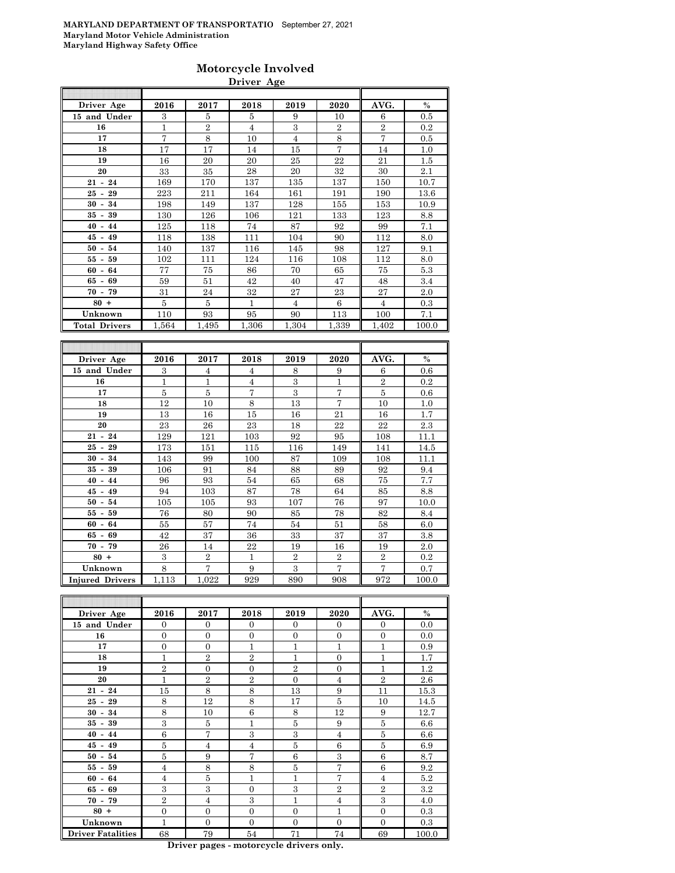### **Motorcycle Involved Driver Age**

| Driver Age                           | 2016         | 2017                    | 2018                    | 2019           | 2020                  | AVG.                  | $\%$         |
|--------------------------------------|--------------|-------------------------|-------------------------|----------------|-----------------------|-----------------------|--------------|
| 15 and Under                         | 3            | 5                       | 5                       | 9              | 10                    | 6                     | 0.5          |
| 16                                   | $\mathbf{1}$ | $\overline{2}$          | $\overline{4}$          | 3              | $\overline{2}$        | $\overline{2}$        | 0.2          |
| 17                                   | 7            | 8                       | 10                      | $\overline{4}$ | 8                     | $\overline{7}$        | 0.5          |
| 18                                   | 17           | 17                      | 14                      | 15             | 7                     | 14                    | 1.0          |
| 19                                   | 16           | 20                      | 20                      | 25             | 22                    | 21                    | 1.5          |
| 20                                   | 33           | 35                      | 28                      | 20             | 32                    | 30                    | 2.1          |
| $21 - 24$                            | 169          | 170                     | 137                     | 135            | 137                   | 150                   | 10.7         |
| $25 - 29$                            | 223          | 211                     | 164                     | 161            | 191                   | 190                   | 13.6         |
| $30 -$<br>34                         | 198          | 149                     | 137                     | 128            | 155                   | 153                   | 10.9         |
| $35 -$<br>39                         | 130          | 126                     | 106                     | 121            | 133                   | 123                   | 8.8          |
| 44<br>40<br>$\overline{\phantom{a}}$ | 125          | 118                     | 74                      | 87             | 92                    | 99                    | 7.1          |
| 45<br>49<br>$\blacksquare$           | 118          | 138                     | 111                     | 104            | 90                    | 112                   | 8.0          |
| 50<br>54<br>$\blacksquare$           | 140          | 137                     | 116                     | 145            | 98                    | 127                   | 9.1          |
| 59<br>55 -                           | 102          | 111                     | 124                     | 116            | 108                   | 112                   | 8.0          |
| 60<br>64<br>$\overline{\phantom{a}}$ | 77           | 75                      | 86                      | 70             | 65                    | 75                    | 5.3          |
| $65 - 69$                            | 59           | 51                      | 42                      | 40             | 47                    | 48                    | 3.4          |
| 70<br>79<br>$\overline{\phantom{a}}$ | 31           | 24                      | 32                      | 27             | 23                    | 27                    | 2.0          |
| $80 +$                               | 5            | 5                       | $\mathbf{1}$            | $\overline{4}$ | 6                     | $\overline{4}$        | $\rm 0.3$    |
| Unknown                              | 110          | 93                      | 95                      | 90             | 113                   | 100                   | 7.1          |
| <b>Total Drivers</b>                 | 1,564        | 1,495                   | 1,306                   | 1,304          | 1,339                 | 1,402                 | 100.0        |
|                                      |              |                         |                         |                |                       |                       |              |
|                                      |              |                         |                         |                |                       |                       |              |
|                                      |              |                         |                         |                |                       |                       |              |
| Driver Age                           | 2016         | 2017                    | 2018                    | 2019           | 2020                  | AVG.                  | $\%$         |
| 15 and Under                         | $\,3$        | $\overline{4}$          | $\overline{4}$          | 8              | 9                     | 6                     | 0.6          |
| 16                                   | 1            | $\mathbf{1}$            | $\overline{4}$          | 3              | $\mathbf{1}$          | $\overline{2}$        | 0.2          |
| 17                                   | 5            | 5                       | 7                       | $\overline{3}$ | 7                     | 5                     | 0.6          |
| 18                                   | 12           | 10                      | 8                       | 13             | $\overline{7}$        | 10                    | 1.0          |
| 19                                   | 13           | 16                      | 15                      | 16             | 21                    | 16                    | 1.7          |
| 20                                   | 23           | 26                      | 23                      | 18             | 22                    | 22                    | 2.3          |
| $21 - 24$                            | 129          | 121                     | 103                     | 92             | 95                    | 108                   | 11.1         |
| $25 -$<br>29                         | 173          | 151                     | 115                     | 116            | 149                   | 141                   | 14.5         |
| 34<br>$30 -$                         | 143          | 99                      | 100                     | 87             | 109                   | 108                   | 11.1         |
| 39<br>35<br>$\overline{\phantom{a}}$ | 106          | 91                      | 84                      | 88             | 89                    | 92                    | 9.4          |
| $40 - 44$                            | 96           | 93                      | 54                      | 65             | 68                    | 75                    | 7.7          |
| $45 - 49$                            | 94           | 103                     | 87                      | 78             | 64                    | 85                    | 8.8          |
| $50 -$<br>54                         | 105          | 105                     | 93                      | 107            | 76                    | 97                    | 10.0         |
| 55<br>59<br>$\overline{\phantom{a}}$ | 76           | 80                      | 90                      | 85             | 78                    | 82                    | 8.4          |
| $60 -$<br>64                         | 55           | 57                      | 74                      | 54             | 51                    | 58                    | 6.0          |
| 65<br>69<br>$\overline{\phantom{a}}$ | 42           | 37                      | 36                      | 33             | 37                    | 37                    | 3.8          |
| $70 - 79$                            | 26           | 14                      | 22                      | 19             | 16                    | 19                    | $2.0\,$      |
| $80 +$                               | 3            | $\overline{2}$          | $\mathbf{1}$            | $\overline{2}$ | $\overline{2}$        | $\overline{2}$        | 0.2          |
| Unknown<br><b>Injured Drivers</b>    | 8<br>1,113   | $\overline{7}$<br>1,022 | $\boldsymbol{9}$<br>929 | $\,3$<br>890   | $\overline{7}$<br>908 | $\overline{7}$<br>972 | 0.7<br>100.0 |

| Driver Age               | 2016           | 2017           | 2018           | 2019           | 2020           | AVG.           | $\%$  |
|--------------------------|----------------|----------------|----------------|----------------|----------------|----------------|-------|
| 15 and Under             | $\overline{0}$ | $\mathbf{0}$   | $\mathbf{0}$   | $\Omega$       | $\mathbf{0}$   | $\overline{0}$ | 0.0   |
| 16                       | $\Omega$       | $\Omega$       | $\Omega$       | $\Omega$       | $\Omega$       | $\Omega$       | 0.0   |
| 17                       | $\overline{0}$ | $\overline{0}$ | 1              | 1              | 1              | $\mathbf{1}$   | 0.9   |
| 18                       | 1              | $\overline{2}$ | $\overline{2}$ | 1              | $\Omega$       | $\mathbf{1}$   | 1.7   |
| 19                       | $\overline{2}$ | $\overline{0}$ | $\Omega$       | $\overline{2}$ | $\theta$       | $\mathbf{1}$   | 1.2   |
| 20                       | 1              | $\overline{2}$ | $\overline{2}$ | $\Omega$       | $\overline{4}$ | $\overline{2}$ | 2.6   |
| $21 - 24$                | 15             | 8              | 8              | 13             | 9              | 11             | 15.3  |
| $25 - 29$                | 8              | 12             | 8              | 17             | 5              | 10             | 14.5  |
| $30 - 34$                | 8              | 10             | 6              | 8              | 12             | 9              | 12.7  |
| $35 - 39$                | 3              | 5              | 1              | 5              | 9              | 5              | 6.6   |
| $40 - 44$                | 6              | $\overline{7}$ | 3              | 3              | $\overline{4}$ | 5              | 6.6   |
| $45 - 49$                | 5              | $\overline{4}$ | $\overline{4}$ | 5              | 6              | 5              | 6.9   |
| $50 - 54$                | 5              | 9              | $\overline{7}$ | 6              | 3              | 6              | 8.7   |
| $55 - 59$                | $\overline{4}$ | 8              | 8              | 5              | 7              | 6              | 9.2   |
| $60 - 64$                | $\overline{4}$ | 5              | 1              | 1              | 7              | $\overline{4}$ | 5.2   |
| $65 - 69$                | 3              | 3              | $\Omega$       | 3              | $\overline{2}$ | $\overline{2}$ | 3.2   |
| $70 - 79$                | $\overline{2}$ | $\overline{4}$ | 3              | 1              | $\overline{4}$ | 3              | 4.0   |
| $80 +$                   | $\overline{0}$ | $\overline{0}$ | $\Omega$       | $\Omega$       | 1              | $\Omega$       | 0.3   |
| Unknown                  | 1              | $\overline{0}$ | $\Omega$       | $\Omega$       | $\Omega$       | $\Omega$       | 0.3   |
| <b>Driver Fatalities</b> | 68             | 79             | 54             | 71             | 74             | 69             | 100.0 |

**Driver pages - motorcycle drivers only.**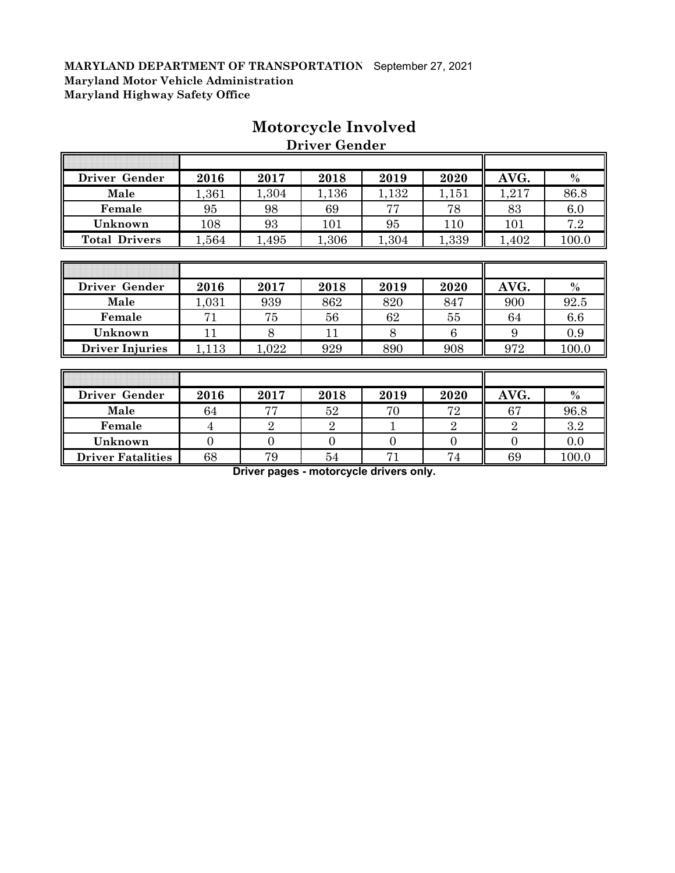| Driver Gender        | 2016  | 2017  | 2018  | 2019  | 2020  | AVG.  | $\%$  |
|----------------------|-------|-------|-------|-------|-------|-------|-------|
| Male                 | 1,361 | 1,304 | , 136 | 1,132 | 1,151 | 1,217 | 86.8  |
| Female               | 95    | 98    | 69    |       | 78    | 83    | 6.0   |
| Unknown              | 108   | 93    | 101   | 95    | 110   | 101   | 7.2   |
| <b>Total Drivers</b> | 1,564 | 495   | ,306  | 1,304 | 1,339 | ,402  | 100.0 |
|                      |       |       |       |       |       |       |       |

# **Motorcycle Involved**

| - -------            | $\bm{\sigma}$ | ◡    | vv   |       | $\cdot$ |      |          |
|----------------------|---------------|------|------|-------|---------|------|----------|
| Unknown              | 108           | 93   | 101  | 95    | 110     | 101  | 7.2      |
| <b>Total Drivers</b> | .564          | .495 | ,306 | 1,304 | 1,339   | ,402 | $100 \,$ |
|                      |               |      |      |       |         |      |          |
|                      |               |      |      |       |         |      |          |
|                      |               |      |      |       |         |      |          |
| Driver Gender        | 2016          | 2017 | 2018 | 2019  | 2020    | AVG. | $\%$     |

 **Driver Gender**

| Driver Gender          | 2016 | 2017 | 2018 | 2019 | 2020 | AVG. | $\%$  |
|------------------------|------|------|------|------|------|------|-------|
| Male                   | .031 | 939  | 862  | 820  | 847  | 900  | 92.5  |
| Female                 | 71   | 75   | 56   | 62   | 55   | 64   | 6.6   |
| Unknown                |      |      |      |      |      |      | 0.9   |
| <b>Driver Injuries</b> | 113  | .022 | 929  | 890  | 908  | 972  | 100.0 |
|                        |      |      |      |      |      |      |       |

| Driver Gender            | 2016 | 2017 | 2018 | 2019 | 2020 | AVG. | $\%$  |
|--------------------------|------|------|------|------|------|------|-------|
| Male                     | 64   | 77   | 52   |      | 72   | 67   | 96.8  |
| Female                   |      |      |      |      |      |      | 3.2   |
| Unknown                  |      |      |      |      |      |      | 0.0   |
| <b>Driver Fatalities</b> | 68   | 79   | 54   |      | 74   | 69   | 100.0 |

**Driver pages - motorcycle drivers only.**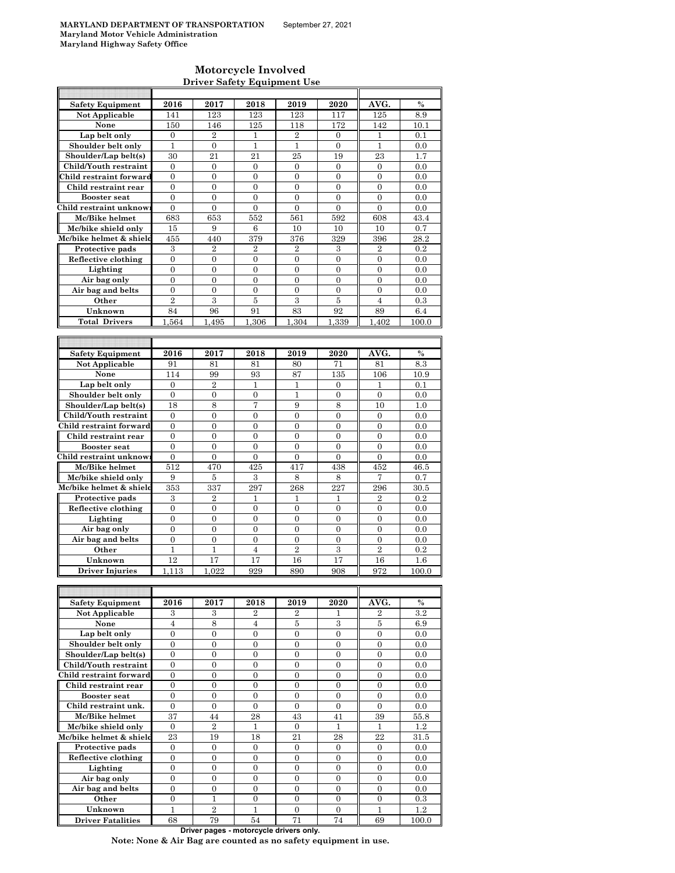### **Motorcycle Involved Driver Safety Equipment Use**

| <b>Safety Equipment</b>             | 2016             | 2017               | 2018             | 2019             | 2020             | AVG.             | $\%$    |
|-------------------------------------|------------------|--------------------|------------------|------------------|------------------|------------------|---------|
| <b>Not Applicable</b>               | 141              | 123                | 123              | 123              | 117              | 125              | 8.9     |
| None                                |                  | 146                |                  | 118              |                  | 142              | 10.1    |
|                                     | 150              |                    | 125              |                  | 172              |                  |         |
| Lap belt only                       | $\overline{0}$   | $\overline{2}$     | $\mathbf{1}$     | $\overline{2}$   | $\overline{0}$   | $\mathbf{1}$     | 0.1     |
| Shoulder belt only                  | 1                | $\boldsymbol{0}$   | 1                | 1                | $\overline{0}$   | $\mathbf{1}$     | 0.0     |
| Shoulder/Lap belt(s)                | 30               | $^{21}$            | 21               | 25               | 19               | 23               | 1.7     |
| Child/Youth restraint               | $\mathbf{0}$     | $\mathbf{0}$       |                  |                  | $\overline{0}$   | $\mathbf{0}$     |         |
|                                     |                  |                    | 0                | $\boldsymbol{0}$ |                  |                  | 0.0     |
| Child restraint forward             | $\overline{0}$   | $\overline{0}$     | $\overline{0}$   | $\overline{0}$   | $\overline{0}$   | $\overline{0}$   | 0.0     |
| Child restraint rear                | $\boldsymbol{0}$ | $\boldsymbol{0}$   | $\boldsymbol{0}$ | $\boldsymbol{0}$ | 0                | $\mathbf{0}$     | 0.0     |
| <b>Booster seat</b>                 | $\overline{0}$   | $\overline{0}$     | $\overline{0}$   | $\overline{0}$   | $\overline{0}$   | $\overline{0}$   | 0.0     |
| Child restraint unknow              |                  |                    |                  |                  |                  |                  |         |
|                                     | $\mathbf{0}$     | $\mathbf{0}$       | $\overline{0}$   | $\overline{0}$   | $\overline{0}$   | $\overline{0}$   | 0.0     |
| Mc/Bike helmet                      | 683              | 653                | 552              | 561              | 592              | 608              | 43.4    |
| Mc/bike shield only                 | 15               | 9                  | $\,6$            | 10               | 10               | 10               | 0.7     |
| Mc/bike helmet & shield             | 455              | 440                | 379              | 376              | 329              | 396              | 28.2    |
|                                     |                  |                    |                  |                  |                  | $\overline{2}$   |         |
| Protective pads                     | 3                | $\overline{2}$     | $\overline{2}$   | $\overline{2}$   | 3                |                  | 0.2     |
| Reflective clothing                 | $\boldsymbol{0}$ | $\boldsymbol{0}$   | 0                | $\boldsymbol{0}$ | $\boldsymbol{0}$ | 0                | 0.0     |
| Lighting                            | $\overline{0}$   | $\overline{0}$     | $\overline{0}$   | $\overline{0}$   | $\overline{0}$   | $\mathbf{0}$     | 0.0     |
| Air bag only                        | $\mathbf{0}$     | $\boldsymbol{0}$   | $\mathbf{0}$     | $\boldsymbol{0}$ | $\boldsymbol{0}$ | $\boldsymbol{0}$ | 0.0     |
|                                     | $\overline{0}$   | $\overline{0}$     | $\overline{0}$   | $\overline{0}$   | $\overline{0}$   | $\overline{0}$   | 0.0     |
| Air bag and belts                   |                  |                    |                  |                  |                  |                  |         |
| Other                               | $\overline{2}$   | 3                  | $\bf 5$          | 3                | 5                | $\overline{4}$   | 0.3     |
| Unknown                             | 84               | 96                 | 91               | 83               | 92               | 89               | 6.4     |
| <b>Total Drivers</b>                | 1.564            | $\overline{1,}495$ | 1.306            | 1.304            | 1.339            | 1.402            | 100.0   |
|                                     |                  |                    |                  |                  |                  |                  |         |
|                                     |                  |                    |                  |                  |                  |                  |         |
|                                     |                  |                    |                  |                  |                  |                  |         |
| <b>Safety Equipment</b>             | 2016             | 2017               | 2018             | 2019             | 2020             | AVG.             | $\%$    |
| <b>Not Applicable</b>               | 91               | 81                 | 81               | 80               | 71               | 81               | 8.3     |
|                                     |                  |                    |                  |                  |                  |                  |         |
| None                                | 114              | 99                 | 93               | 87               | 135              | 106              | 10.9    |
| Lap belt only                       | $\mathbf{0}$     | $\overline{2}$     | 1                | 1                | 0                | 1                | 0.1     |
| Shoulder belt only                  | $\overline{0}$   | $\overline{0}$     | $\overline{0}$   | $\mathbf{1}$     | $\overline{0}$   | $\overline{0}$   | 0.0     |
| Shoulder/Lap belt(s)                | 18               | 8                  | 7                | 9                | 8                | 10               | 1.0     |
|                                     |                  |                    |                  |                  |                  |                  |         |
| Child/Youth restraint               | $\overline{0}$   | $\overline{0}$     | $\overline{0}$   | $\overline{0}$   | $\overline{0}$   | $\overline{0}$   | 0.0     |
| Child restraint forward             | $\overline{0}$   | $\overline{0}$     | $\overline{0}$   | $\overline{0}$   | $\overline{0}$   | $\boldsymbol{0}$ | 0.0     |
| Child restraint rear                | $\overline{0}$   | $\overline{0}$     | $\overline{0}$   | $\overline{0}$   | $\overline{0}$   | $\overline{0}$   | 0.0     |
| <b>Booster seat</b>                 | 0                | $\boldsymbol{0}$   | $\boldsymbol{0}$ | 0                | $\boldsymbol{0}$ | $\boldsymbol{0}$ | 0.0     |
|                                     |                  |                    |                  |                  |                  |                  |         |
| Child restraint unknow              | $\overline{0}$   | $\mathbf{0}$       | $\overline{0}$   | 0                | $\overline{0}$   | $\overline{0}$   | 0.0     |
| Mc/Bike helmet                      | 512              | 470                | 425              | 417              | 438              | 452              | 46.5    |
| Mc/bike shield only                 | 9                | 5                  | 3                | 8                | 8                | 7                | 0.7     |
| Mc/bike helmet & shield             | 353              | 337                | 297              | 268              | 227              | 296              | 30.5    |
|                                     |                  |                    |                  |                  |                  |                  |         |
| Protective pads                     | 3                | $\overline{2}$     | 1                | 1                | 1                | $\overline{2}$   | 0.2     |
| Reflective clothing                 | $\mathbf{0}$     | $\mathbf{0}$       | $\overline{0}$   | $\overline{0}$   | $\overline{0}$   | $\mathbf{0}$     | 0.0     |
| Lighting                            | $\overline{0}$   | $\overline{0}$     | $\overline{0}$   | $\overline{0}$   | $\overline{0}$   | $\overline{0}$   | 0.0     |
| Air bag only                        | $\overline{0}$   | $\mathbf{0}$       | $\overline{0}$   | $\overline{0}$   | $\overline{0}$   | $\overline{0}$   | 0.0     |
|                                     |                  |                    |                  |                  |                  |                  |         |
| Air bag and belts                   | $\mathbf{0}$     | $\boldsymbol{0}$   | $\boldsymbol{0}$ | $\boldsymbol{0}$ | $\boldsymbol{0}$ | $\boldsymbol{0}$ | 0.0     |
| Other                               | 1                | $\mathbf{1}$       | $\overline{4}$   | $\overline{2}$   | 3                | $\overline{2}$   | 0.2     |
| Unknown                             | 12               | 17                 | 17               | 16               | 17               | 16               | 1.6     |
| <b>Driver Injuries</b>              |                  | 1.022              | 929              |                  |                  |                  |         |
|                                     | 1,113            |                    |                  | 890              | 908              | 972              | 100.0   |
|                                     |                  |                    |                  |                  |                  |                  |         |
|                                     |                  |                    |                  |                  |                  |                  |         |
| <b>Safety Equipment</b>             | 2016             | 2017               | 2018             | 2019             | 2020             | AVG.             | $\%$    |
| <b>Not Applicable</b>               | 3                | 3                  | 2                | 2                | 1                | $\overline{2}$   | 3.2     |
|                                     |                  |                    |                  |                  |                  |                  |         |
| None                                | $\overline{4}$   | 8                  | 4                | 5                | 3                | 5                | 6.9     |
| Lap belt only                       | $\boldsymbol{0}$ | $\boldsymbol{0}$   | $\boldsymbol{0}$ | $\mathbf{0}$     | $\overline{0}$   | $\overline{0}$   | 0.0     |
| Shoulder belt only                  | $\overline{0}$   | $\boldsymbol{0}$   | $\boldsymbol{0}$ | 0                | $\boldsymbol{0}$ | $\boldsymbol{0}$ | 0.0     |
| Shoulder/Lap belt(s)                | $\overline{0}$   | $\overline{0}$     | $\boldsymbol{0}$ | $\boldsymbol{0}$ | $\overline{0}$   | $\boldsymbol{0}$ | 0.0     |
|                                     |                  |                    |                  |                  |                  |                  |         |
| Child/Youth restraint               | $\mathbf{0}$     | $\boldsymbol{0}$   | $\boldsymbol{0}$ | $\boldsymbol{0}$ | $\boldsymbol{0}$ | $\boldsymbol{0}$ | 0.0     |
| Child restraint forward             | 0                | $\boldsymbol{0}$   | $\boldsymbol{0}$ | 0                | $\boldsymbol{0}$ | $\boldsymbol{0}$ | 0.0     |
| Child restraint rear                | 0                | $\boldsymbol{0}$   | $\boldsymbol{0}$ | 0                | $\boldsymbol{0}$ | $\boldsymbol{0}$ | 0.0     |
| <b>Booster seat</b>                 | $\mathbf{0}$     | $\boldsymbol{0}$   | $\boldsymbol{0}$ | $\boldsymbol{0}$ | 0                | $\boldsymbol{0}$ | 0.0     |
|                                     |                  |                    |                  |                  |                  |                  |         |
| Child restraint unk.                | $\boldsymbol{0}$ | $\boldsymbol{0}$   | $\overline{0}$   | $\overline{0}$   | 0                | $\mathbf{0}$     | 0.0     |
| Mc/Bike helmet                      | 37               | 44                 | 28               | 43               | 41               | 39               | 55.8    |
| Mc/bike shield only                 | $\mathbf{0}$     | $\overline{2}$     | $\mathbf{1}$     | $\overline{0}$   | $\mathbf{1}$     | 1                | 1.2     |
| Mc/bike helmet & shield             | 23               | 19                 | 18               | 21               | 28               | 22               | 31.5    |
|                                     |                  |                    |                  |                  |                  |                  |         |
| Protective pads                     | $\mathbf{0}$     | $\mathbf{0}$       | $\mathbf{0}$     | $\boldsymbol{0}$ | $\boldsymbol{0}$ | $\boldsymbol{0}$ | 0.0     |
| Reflective clothing                 | $\overline{0}$   | $\boldsymbol{0}$   | $\boldsymbol{0}$ | $\boldsymbol{0}$ | $\boldsymbol{0}$ | $\boldsymbol{0}$ | 0.0     |
| Lighting                            | 0                | $\boldsymbol{0}$   | 0                | 0                | $\boldsymbol{0}$ | 0                | 0.0     |
| Air bag only                        | $\overline{0}$   | $\overline{0}$     | $\overline{0}$   | $\overline{0}$   | $\overline{0}$   | $\overline{0}$   | 0.0     |
|                                     |                  |                    |                  |                  |                  |                  |         |
| Air bag and belts                   | 0                | $\boldsymbol{0}$   | $\boldsymbol{0}$ | $\boldsymbol{0}$ | 0                | $\mathbf{0}$     | 0.0     |
| Other                               | $\mathbf{0}$     | $\mathbf{1}$       | $\boldsymbol{0}$ | $\boldsymbol{0}$ | $\boldsymbol{0}$ | $\boldsymbol{0}$ | 0.3     |
|                                     |                  |                    | $\mathbf{1}$     | $\boldsymbol{0}$ | $\boldsymbol{0}$ | 1                | $1.2\,$ |
|                                     | 1                |                    |                  |                  |                  |                  |         |
| Unknown<br><b>Driver Fatalities</b> | 68               | $\,2$<br>79        | 54               | 71               | 74               | 69               | 100.0   |

**Driver pages - motorcycle drivers only.**

**Note: None & Air Bag are counted as no safety equipment in use.**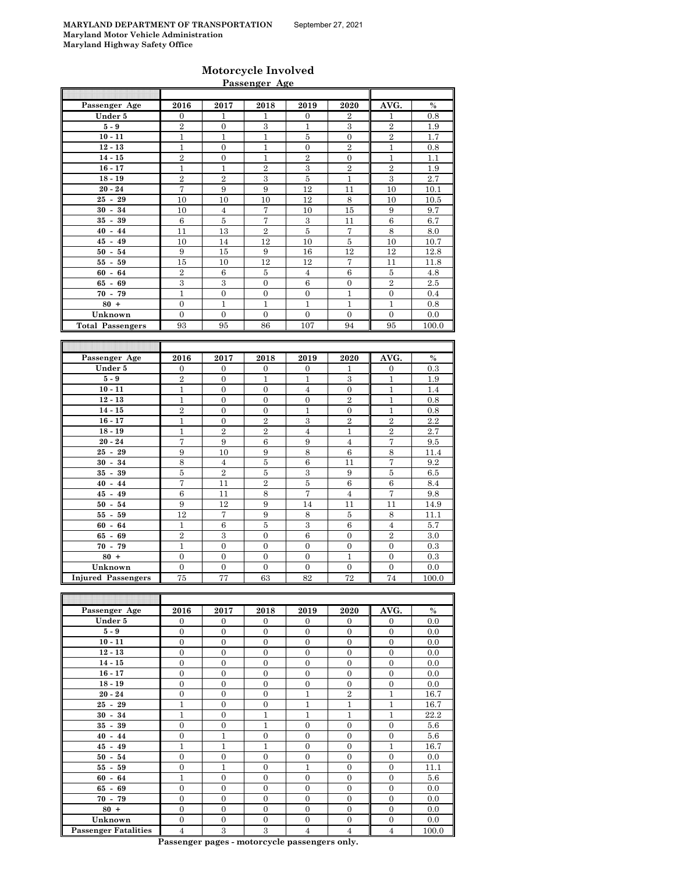### **Motorcycle Involved Passenger Age**

| Passenger Age             | 2016             | 2017             | 2018              | 2019             | 2020             | AVG.             | $\%$          |
|---------------------------|------------------|------------------|-------------------|------------------|------------------|------------------|---------------|
| Under 5                   | $\boldsymbol{0}$ | 1                | 1                 | $\boldsymbol{0}$ | 2                | 1                | 0.8           |
| $5-9$                     | $\overline{2}$   | $\boldsymbol{0}$ | 3                 | $\mathbf{1}$     | 3                | $\overline{2}$   | 1.9           |
| $10 - 11$                 | $\mathbf 1$      | $\mathbf{1}$     | $\mathbf{1}$      | $\bf 5$          | $\boldsymbol{0}$ | $\overline{2}$   | 1.7           |
| $12 - 13$                 | $\mathbf{1}$     | $\overline{0}$   | $\mathbf{1}$      | $\mathbf{0}$     | $\overline{2}$   | $\mathbf{1}$     | 0.8           |
| $14 - 15$                 | $\overline{2}$   | $\boldsymbol{0}$ | $\mathbf{1}$      | $\overline{2}$   | $\boldsymbol{0}$ | $\mathbf{1}$     | 1.1           |
| $16 - 17$                 | $\mathbf{1}$     | $\mathbf{1}$     | $\overline{2}$    | 3                | $\overline{2}$   | $\overline{2}$   | 1.9           |
| $18 - 19$                 | $\overline{2}$   | $\overline{2}$   | 3                 | $\bf 5$          | $\mathbf{1}$     | 3                | 2.7           |
| $20 - 24$                 | 7                | 9                | 9                 | 12               | 11               | 10               | 10.1          |
| $25 - 29$                 | 10               | 10               | 10                | 12               | 8                | 10               | 10.5          |
| $30 - 34$                 | 10               | $\overline{4}$   | 7                 | 10               | 15               | 9                | 9.7           |
| $35 - 39$                 | $6\phantom{1}6$  | $\bf 5$          | $\scriptstyle{7}$ | $\,3$            | 11               | 6                | $6.7\,$       |
| $40 - 44$                 | 11               | 13               | $\overline{2}$    | $\bf 5$          | 7                | 8                | 8.0           |
| $45 - 49$                 | 10               | 14               | 12                | 10               | $\bf 5$          | 10               | 10.7          |
| $50 - 54$                 | 9                | 15               | 9                 | 16               | 12               | 12               | 12.8          |
| $55 - 59$                 | 15               | 10               | 12                | 12               | 7                | 11               | 11.8          |
| $60 - 64$                 | $\overline{2}$   | 6                | 5                 | $\overline{4}$   | $\,6$            | 5                | 4.8           |
| $65 - 69$                 | $\overline{3}$   | 3                | $\boldsymbol{0}$  | $\,6$            | $\boldsymbol{0}$ | $\overline{2}$   | $2.5\,$       |
| $70 - 79$                 | $\mathbf{1}$     | $\boldsymbol{0}$ | $\boldsymbol{0}$  | $\boldsymbol{0}$ | $\mathbf{1}$     | $\boldsymbol{0}$ | 0.4           |
| $80 +$                    | $\overline{0}$   | $\mathbf{1}$     | $\mathbf{1}$      | $\mathbf{1}$     | $\mathbf{1}$     | $\mathbf{1}$     | 0.8           |
| Unknown                   | $\Omega$         | $\theta$         | $\Omega$          | $\mathbf{0}$     | $\Omega$         | $\mathbf{0}$     | 0.0           |
| <b>Total Passengers</b>   | 93               | 95               | 86                | 107              | 94               | 95               | 100.0         |
|                           |                  |                  |                   |                  |                  |                  |               |
|                           |                  |                  |                   |                  |                  |                  |               |
|                           |                  |                  |                   |                  |                  |                  |               |
| Passenger Age             | 2016             | 2017             | 2018              | 2019             | 2020             | AVG.             | $\frac{0}{0}$ |
| Under 5                   | $\boldsymbol{0}$ | 0                | $\boldsymbol{0}$  | $\boldsymbol{0}$ | 1                | $\boldsymbol{0}$ | 0.3           |
| $5-9$                     | $\overline{2}$   | $\boldsymbol{0}$ | $\mathbf{1}$      | $\mathbf{1}$     | $\,3$            | $\mathbf{1}$     | 1.9           |
| $10 - 11$                 | $\mathbf{1}$     | $\overline{0}$   | $\overline{0}$    | $\overline{4}$   | $\overline{0}$   | $\mathbf{1}$     | 1.4           |
| $12 - 13$                 | $\mathbf{1}$     | $\overline{0}$   | $\overline{0}$    | $\mathbf{0}$     | $\overline{2}$   | $\mathbf{1}$     | 0.8           |
| $14 - 15$                 | $\overline{2}$   | $\overline{0}$   | $\overline{0}$    | 1                | $\overline{0}$   | $\mathbf{1}$     | 0.8           |
| $16 - 17$                 | $\mathbf{1}$     | $\boldsymbol{0}$ | $\overline{2}$    | 3                | $\overline{2}$   | $\overline{2}$   | 2.2           |
| $18 - 19$                 | $\mathbf{1}$     | $\overline{2}$   | $\overline{2}$    | $\overline{4}$   | $\mathbf{1}$     | $\overline{2}$   | 2.7           |
| $20 - 24$                 | 7                | 9                | $\,6$             | 9                | $\overline{4}$   | $\sqrt{ }$       | 9.5           |
| $25 - 29$                 | 9                | 10               | 9                 | 8                | 6                | $\,$ 8 $\,$      | 11.4          |
| $30 - 34$                 | 8                | $\overline{4}$   | 5                 | 6                | 11               | 7                | 9.2           |
| $35 - 39$                 | 5                | $\overline{2}$   | $\overline{5}$    | 3                | 9                | $\overline{5}$   | 6.5           |
| $40 - 44$                 | 7                | 11               | $\overline{2}$    | $\overline{5}$   | 6                | $\,6$            | 8.4           |
| $45 - 49$                 | 6                | 11               | 8                 | 7                | $\overline{4}$   | 7                | 9.8           |
| $50 - 54$                 | 9                | 12               | 9                 | 14               | 11               | 11               | 14.9          |
| $55 - 59$                 | 12               | 7                | 9                 | 8                | $\bf 5$          | 8                | 11.1          |
| $60 - 64$                 | $\mathbf{1}$     | 6                | $\bf 5$           | 3                | 6                | $\overline{4}$   | 5.7           |
| $65 - 69$                 | $\overline{2}$   | 3                | $\overline{0}$    | $\,6$            | $\overline{0}$   | $\overline{2}$   | 3.0           |
| $70 - 79$                 | $\overline{1}$   | $\overline{0}$   | $\theta$          | $\overline{0}$   | $\Omega$         | $\theta$         | 0.3           |
| $80 +$                    | $\boldsymbol{0}$ | $\overline{0}$   | 0                 | 0                | $\mathbf{1}$     | $\overline{0}$   | 0.3           |
| Unknown                   | $\overline{0}$   | $\overline{0}$   | $\overline{0}$    | $\overline{0}$   | $\overline{0}$   | $\overline{0}$   | 0.0           |
| <b>Injured Passengers</b> | 75               | 77               | 63                | 82               | 72               | 74               | 100.0         |

| Passenger Age               | 2016           | 2017           | 2018           | 2019           | 2020           | AVG.           | $\%$  |
|-----------------------------|----------------|----------------|----------------|----------------|----------------|----------------|-------|
| Under 5                     | $\Omega$       | $\Omega$       | $\Omega$       | $\Omega$       | $\Omega$       | $\mathbf{0}$   | 0.0   |
| $5-9$                       | $\Omega$       | $\Omega$       | $\Omega$       | $\Omega$       | $\Omega$       | $\Omega$       | 0.0   |
| $10 - 11$                   | $\overline{0}$ | $\overline{0}$ | $\mathbf{0}$   | $\overline{0}$ | $\overline{0}$ | $\overline{0}$ | 0.0   |
| $12 - 13$                   | $\overline{0}$ | $\Omega$       | $\Omega$       | $\Omega$       | $\overline{0}$ | $\overline{0}$ | 0.0   |
| $14 - 15$                   | $\mathbf{0}$   | $\overline{0}$ | $\mathbf{0}$   | $\overline{0}$ | $\overline{0}$ | $\overline{0}$ | 0.0   |
| $16 - 17$                   | $\overline{0}$ | $\mathbf{0}$   | $\Omega$       | $\Omega$       | $\overline{0}$ | $\Omega$       | 0.0   |
| $18 - 19$                   | $\Omega$       | $\Omega$       | $\Omega$       | $\Omega$       | $\Omega$       | $\Omega$       | 0.0   |
| $20 - 24$                   | $\overline{0}$ | $\overline{0}$ | $\overline{0}$ | 1              | $\overline{2}$ | 1              | 16.7  |
| $25 - 29$                   | 1              | $\overline{0}$ | $\mathbf{0}$   | 1              | 1              | 1              | 16.7  |
| $30 - 34$                   | 1              | $\mathbf{0}$   | 1              | 1              | 1              | 1              | 22.2  |
| $35 - 39$                   | $\overline{0}$ | $\mathbf{0}$   | 1              | $\overline{0}$ | $\overline{0}$ | $\overline{0}$ | 5.6   |
| $40 - 44$                   | $\overline{0}$ | 1              | $\Omega$       | $\Omega$       | $\Omega$       | $\Omega$       | 5.6   |
| $45 - 49$                   | $\mathbf{1}$   | $\mathbf{1}$   | $\mathbf{1}$   | $\mathbf{0}$   | $\overline{0}$ | $\mathbf{1}$   | 16.7  |
| $50 - 54$                   | $\overline{0}$ | $\overline{0}$ | $\overline{0}$ | $\mathbf{0}$   | $\overline{0}$ | $\mathbf{0}$   | 0.0   |
| $55 - 59$                   | $\overline{0}$ | 1              | $\mathbf{0}$   | 1              | $\overline{0}$ | $\mathbf{0}$   | 11.1  |
| $60 - 64$                   | 1              | $\Omega$       | $\Omega$       | $\Omega$       | $\Omega$       | $\Omega$       | 5.6   |
| $65 - 69$                   | $\overline{0}$ | $\overline{0}$ | $\mathbf{0}$   | $\mathbf{0}$   | $\overline{0}$ | $\mathbf{0}$   | 0.0   |
| $70 - 79$                   | $\overline{0}$ | $\overline{0}$ | $\overline{0}$ | $\mathbf{0}$   | $\overline{0}$ | $\overline{0}$ | 0.0   |
| $80 +$                      | $\overline{0}$ | $\overline{0}$ | $\overline{0}$ | $\overline{0}$ | $\overline{0}$ | $\overline{0}$ | 0.0   |
| Unknown                     | $\mathbf{0}$   | $\mathbf{0}$   | $\mathbf{0}$   | $\mathbf{0}$   | $\overline{0}$ | $\mathbf{0}$   | 0.0   |
| <b>Passenger Fatalities</b> | $\overline{4}$ | 3              | 3              | $\overline{4}$ | 4              | 4              | 100.0 |

**Passenger pages - motorcycle passengers only.**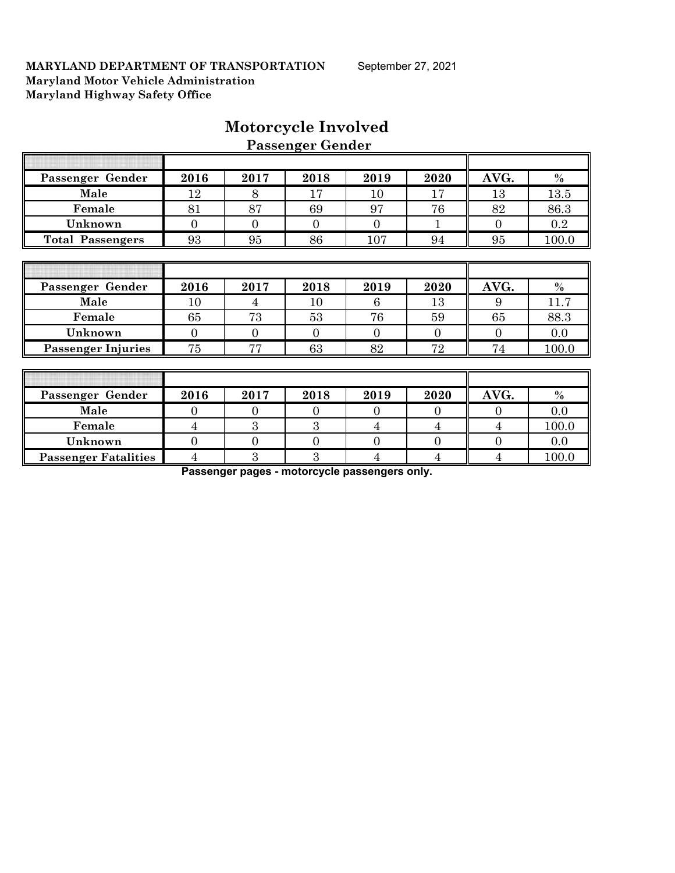|                             |                |                  | <b>Passenger Gender</b> |                |                |                |         |
|-----------------------------|----------------|------------------|-------------------------|----------------|----------------|----------------|---------|
|                             |                |                  |                         |                |                |                |         |
| Passenger Gender            | 2016           | 2017             | 2018                    | 2019           | 2020           | AVG.           | $\%$    |
| Male                        | 12             | 8                | 17                      | 10             | 17             | 13             | 13.5    |
| Female                      | 81             | 87               | 69                      | 97             | 76             | 82             | 86.3    |
| Unknown                     | $\overline{0}$ | $\overline{0}$   | $\overline{0}$          | $\overline{0}$ |                | $\theta$       | $0.2\,$ |
| <b>Total Passengers</b>     | 93             | 95               | 86                      | 107            | 94             | 95             | 100.0   |
|                             |                |                  |                         |                |                |                |         |
|                             |                |                  |                         |                |                |                |         |
| Passenger Gender            | 2016           | 2017             | 2018                    | 2019           | 2020           | AVG.           | $\%$    |
| Male                        | 10             | 4                | 10                      | 6              | 13             | 9              | 11.7    |
| Female                      | 65             | 73               | 53                      | 76             | 59             | 65             | 88.3    |
| Unknown                     | $\overline{0}$ | $\mathbf{0}$     | $\overline{0}$          | $\overline{0}$ | $\overline{0}$ | $\overline{0}$ | $0.0\,$ |
| <b>Passenger Injuries</b>   | 75             | 77               | 63                      | 82             | 72             | 74             | 100.0   |
|                             |                |                  |                         |                |                |                |         |
|                             |                |                  |                         |                |                |                |         |
| Passenger Gender            | 2016           | 2017             | 2018                    | 2019           | 2020           | AVG.           | $\%$    |
| Male                        | $\overline{0}$ | $\overline{0}$   | $\overline{0}$          | $\overline{0}$ | $\Omega$       | $\overline{0}$ | 0.0     |
| Female                      | 4              | 3                | 3                       | $\overline{4}$ | $\overline{4}$ | $\overline{4}$ | 100.0   |
| Unknown                     | $\overline{0}$ | $\boldsymbol{0}$ | $\theta$                | $\overline{0}$ | $\overline{0}$ | $\overline{0}$ | 0.0     |
| <b>Passenger Fatalities</b> | 4              | 3                | 3                       | $\overline{4}$ | 4              | 4              | 100.0   |

# **Motorcycle Involved**

**Passenger pages - motorcycle passengers only.**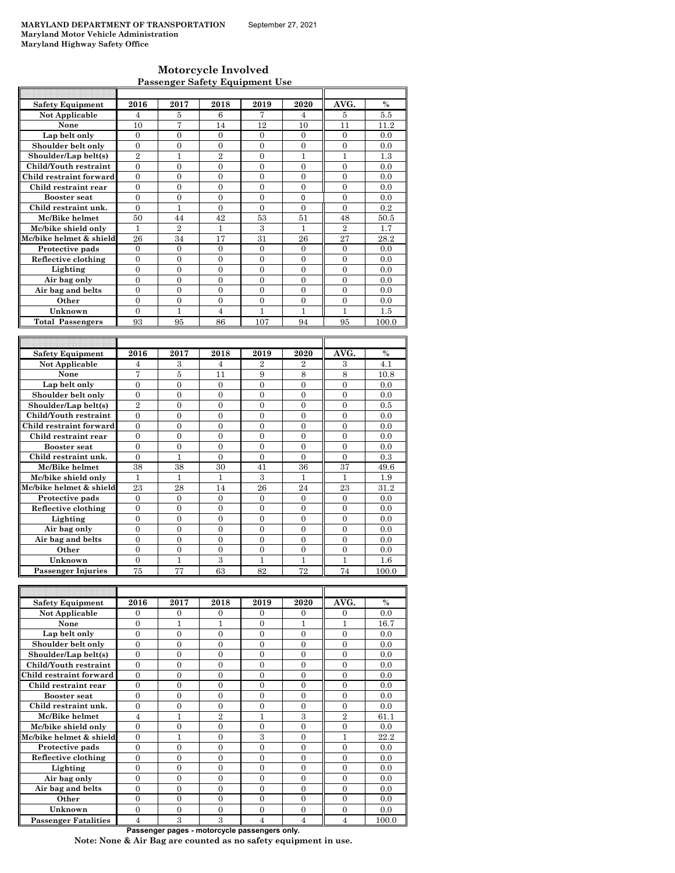| Motorcycle Involved                   |
|---------------------------------------|
| <b>Passenger Safety Equipment Use</b> |

| <b>Safety Equipment</b> | 2016             | 2017           | 2018           | 2019           | 2020           | AVG.           | $\frac{0}{0}$ |
|-------------------------|------------------|----------------|----------------|----------------|----------------|----------------|---------------|
| Not Applicable          | 4                | 5              | 6              | 7              | 4              | 5              | 5.5           |
| None                    | 10               | 7              | 14             | 12             | 10             | 11             | 11.2          |
| Lap belt only           | $\Omega$         | $\Omega$       | $\Omega$       | $\Omega$       | $\Omega$       | $\Omega$       | 0.0           |
| Shoulder belt only      | $\overline{0}$   | $\overline{0}$ | 0              | $\mathbf{0}$   | $\mathbf{0}$   | $\overline{0}$ | 0.0           |
| Shoulder/Lap belt(s)    | $\overline{2}$   | $\overline{1}$ | $\overline{2}$ | $\overline{0}$ | $\mathbf{1}$   | 1              | 1.3           |
| Child/Youth restraint   | $\theta$         | $\theta$       | $\theta$       | $\theta$       | $\theta$       | $\theta$       | 0.0           |
| Child restraint forward | 0                | 0              | 0              | $\overline{0}$ | $\overline{0}$ | $\overline{0}$ | 0.0           |
| Child restraint rear    | $\overline{0}$   | $\overline{0}$ | $\theta$       | $\overline{0}$ | $\theta$       | $\theta$       | 0.0           |
| <b>Booster seat</b>     | $\mathbf{0}$     | $\mathbf{0}$   | 0              | $\mathbf{0}$   | 0              | $\mathbf{0}$   | 0.0           |
| Child restraint unk.    | $\overline{0}$   | $\mathbf{1}$   | $\overline{0}$ | $\mathbf{0}$   | $\mathbf{0}$   | $\overline{0}$ | 0.2           |
| Mc/Bike helmet          | 50               | 44             | 42             | 53             | 51             | 48             | 50.5          |
| Mc/bike shield only     | 1                | $\overline{2}$ | $\mathbf{1}$   | 3              | $\mathbf{1}$   | $\overline{2}$ | 1.7           |
| Mc/bike helmet & shield | 26               | 34             | 17             | 31             | 26             | 27             | 28.2          |
| Protective pads         | 0                | $\Omega$       | $\theta$       | $\mathbf{0}$   | $\theta$       | $\Omega$       | 0.0           |
| Reflective clothing     | 0                | $\overline{0}$ | 0              | $\mathbf{0}$   | $\mathbf{0}$   | $\overline{0}$ | 0.0           |
| Lighting                | $\overline{0}$   | $\overline{0}$ | 0              | $\Omega$       | $\theta$       | $\Omega$       | 0.0           |
| Air bag only            | $\overline{0}$   | $\overline{0}$ | $\theta$       | $\theta$       | $\theta$       | $\theta$       | 0.0           |
| Air bag and belts       | 0                | $\overline{0}$ | 0              | $\mathbf{0}$   | $\theta$       | $\Omega$       | 0.0           |
| Other                   | $\theta$         | $\theta$       | $\theta$       | $\theta$       | $\Omega$       | $\Omega$       | 0.0           |
| Unknown                 | $\theta$         | 1              | $\overline{4}$ | 1              | $\mathbf{1}$   | 1              | 1.5           |
| <b>Total Passengers</b> | 93               | 95             | 86             | 107            | 94             | 95             | 100.0         |
|                         |                  |                |                |                |                |                |               |
|                         |                  |                |                |                |                |                |               |
| <b>Safety Equipment</b> | 2016             | 2017           | 2018           | 2019           | 2020           | AVG.           | $\frac{0}{0}$ |
| Not Applicable          | 4                | $\,3$          | 4              | $\overline{2}$ | $\overline{2}$ | 3              | 4.1           |
| None                    | 7                | 5              | 11             | 9              | 8              | 8              | 10.8          |
| Lap belt only           | $\theta$         | $\theta$       | $\Omega$       | $\theta$       | $\theta$       | $\Omega$       | 0.0           |
| Shoulder belt only      | 0                | $\overline{0}$ | 0              | $\mathbf{0}$   | $\overline{0}$ | $\overline{0}$ | 0.0           |
| Shoulder/Lap belt(s)    | $\overline{2}$   | $\overline{0}$ | 0              | $\overline{0}$ | $\overline{0}$ | $\overline{0}$ | 0.5           |
| Child/Youth restraint   | $\theta$         | $\theta$       | $\theta$       | $\theta$       | $\theta$       | $\Omega$       | 0.0           |
| Child restraint forward | $\Omega$         | $\Omega$       | $\theta$       | $\Omega$       | $\theta$       | $\Omega$       | 0.0           |
| Child restraint rear    |                  |                |                |                |                | $\mathbf{0}$   | 0.0           |
| <b>Booster seat</b>     | $\mathbf{0}$     | $\mathbf{0}$   | 0              | $\mathbf{0}$   | 0              |                |               |
|                         | $\theta$         | $\theta$       | $\theta$       | $\theta$       | $\theta$       | $\Omega$       | 0.0           |
| Child restraint unk.    | $\Omega$         | $\mathbf{1}$   | $\overline{0}$ | $\overline{0}$ | $\theta$       | $\Omega$       | 0.3           |
| Mc/Bike helmet          | 38               | 38             | 30             | 41             | 36             | 37             | 49.6          |
| Mc/bike shield only     | $\mathbf{1}$     | 1              | 1              | 3              | $\mathbf{1}$   | $\mathbf{1}$   | 1.9           |
| Mc/bike helmet & shield | 23               | 28             | 14             | 26             | 24             | 23             | 31.2          |
| Protective pads         | $\overline{0}$   | $\overline{0}$ | $\overline{0}$ | $\mathbf{0}$   | $\overline{0}$ | $\overline{0}$ | 0.0           |
| Reflective clothing     | $\boldsymbol{0}$ | $\overline{0}$ | 0              | $\mathbf{0}$   | $\mathbf{0}$   | $\overline{0}$ | 0.0           |
| Lighting                | $\theta$         | $\Omega$       | $\theta$       | $\theta$       | $\theta$       | $\Omega$       | 0.0           |
| Air bag only            | $\overline{0}$   | $\overline{0}$ | $\overline{0}$ | $\overline{0}$ | $\overline{0}$ | $\theta$       | 0.0           |

| <b>Safety Equipment</b>     | 2016     | 2017     | 2018           | 2019     | 2020     | AVG.           | $\frac{0}{0}$ |
|-----------------------------|----------|----------|----------------|----------|----------|----------------|---------------|
| Not Applicable              | 0        | $\Omega$ | $\Omega$       | $\Omega$ | $\Omega$ | $\Omega$       | 0.0           |
| None                        | $\theta$ |          |                | $\Omega$ |          |                | 16.7          |
| Lap belt only               | $\Omega$ | $\Omega$ | $\Omega$       | $\Omega$ | $\Omega$ | $\Omega$       | 0.0           |
| Shoulder belt only          | 0        | 0        | 0              | $\Omega$ | $\Omega$ | $\theta$       | 0.0           |
| Shoulder/Lap belt(s)        | $\theta$ | 0        | 0              | $\theta$ | $\theta$ | $\Omega$       | 0.0           |
| Child/Youth restraint       | $\theta$ | $\Omega$ | $\Omega$       | $\Omega$ | $\Omega$ | $\Omega$       | 0.0           |
| Child restraint forward     | $\Omega$ | $\Omega$ | $\Omega$       | $\Omega$ | $\Omega$ | $\Omega$       | 0.0           |
| Child restraint rear        | $\Omega$ | $\Omega$ | $\Omega$       | $\theta$ | $\theta$ | $\Omega$       | 0.0           |
| <b>Booster seat</b>         | $\theta$ | $\Omega$ | $\Omega$       | $\Omega$ | $\Omega$ | $\Omega$       | 0.0           |
| Child restraint unk.        | $\theta$ | 0        | $\Omega$       | $\Omega$ | $\Omega$ | $\Omega$       | 0.0           |
| Mc/Bike helmet              | 4        |          | $\overline{2}$ |          | 3        | $\overline{2}$ | 61.1          |
| Mc/bike shield only         | $\theta$ | 0        | $\Omega$       | $\Omega$ | $\Omega$ | $\Omega$       | 0.0           |
| Mc/bike helmet & shield     | $\Omega$ | 1        | $\Omega$       | 3        | $\Omega$ | 1              | 22.2          |
| Protective pads             | $\Omega$ | $\Omega$ | $\Omega$       | $\Omega$ | $\Omega$ | $\Omega$       | 0.0           |
| Reflective clothing         | $\Omega$ | $\Omega$ | $\Omega$       | $\Omega$ | $\Omega$ | $\Omega$       | 0.0           |
| Lighting                    | $\theta$ | $\Omega$ | $\Omega$       | $\Omega$ | $\Omega$ | $\Omega$       | 0.0           |
| Air bag only                | $\theta$ | $\Omega$ | $\Omega$       | $\Omega$ | $\Omega$ | $\Omega$       | 0.0           |
| Air bag and belts           | $\theta$ | $\Omega$ | $\Omega$       | $\Omega$ | $\Omega$ | $\Omega$       | 0.0           |
| Other                       | $\theta$ | $\Omega$ | $\Omega$       | $\Omega$ | $\Omega$ | $\Omega$       | 0.0           |
| Unknown                     | $\Omega$ | $\Omega$ | $\Omega$       | $\Omega$ | $\Omega$ | $\Omega$       | 0.0           |
| <b>Passenger Fatalities</b> | 4        | 3        | 3              | 4        | 4        | $\overline{4}$ | 100.0         |

**Other**  $\begin{array}{|c|c|c|c|c|c|} \hline 0 & 0 & 0 & 0 & 0 & 0 & 0.0 \ \hline \end{array}$ **Unknown** 0 1 3 1 1 1 1.6

Air bag and belts

 **Passenger Injuries** 

**Passenger pages - motorcycle passengers only.**

**Note: None & Air Bag are counted as no safety equipment in use.**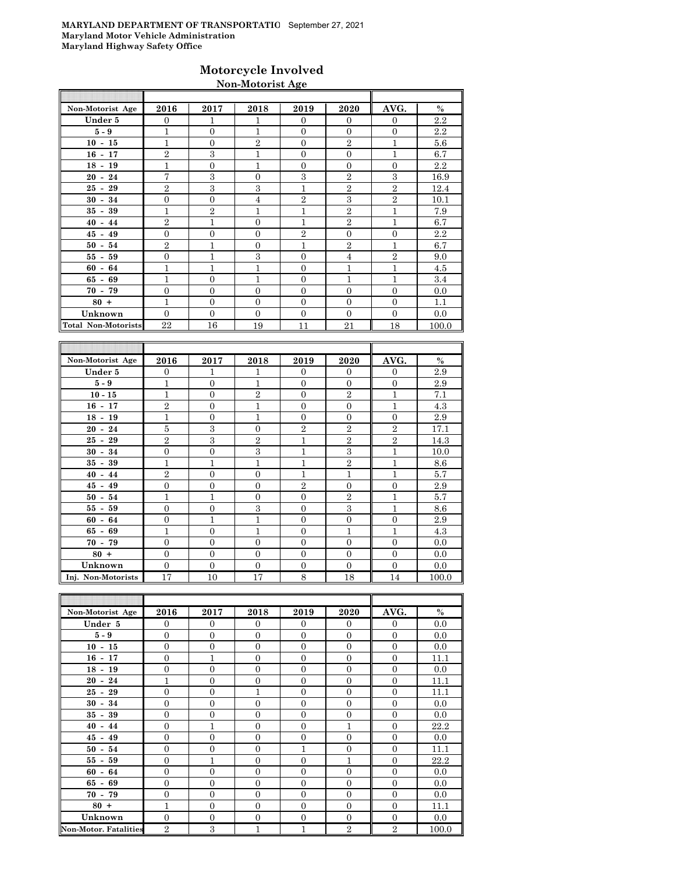## **Motorcycle Involved Non-Motorist Age**

| AVG.<br>2016<br>2020<br>Non-Motorist Age<br>2017<br>2018<br>2019<br>Under 5<br>1<br>$\Omega$<br>$\Omega$<br>$\Omega$<br>$\Omega$<br>1<br>$\overline{1}$<br>$5 - 9$<br>1<br>$\Omega$<br>$\mathbf{0}$<br>$\Omega$<br>$\Omega$<br>$\mathbf{1}$<br>$\overline{2}$<br>$\overline{2}$<br>$10 - 15$<br>$\mathbf{0}$<br>$\Omega$<br>1<br>$\overline{2}$<br>$\mathcal{S}$<br>1<br>1<br>$\Omega$<br>$16 - 17$<br>$\Omega$<br>$\overline{1}$<br>1<br>$\mathbf{0}$<br>$\mathbf{0}$<br>$18 - 19$<br>$\Omega$<br>$\overline{0}$<br>7<br>3<br>3<br>$\overline{2}$<br>3<br>$\Omega$<br>$20 - 24$<br>$\overline{2}$<br>3<br>3<br>1<br>$\overline{2}$<br>$\overline{2}$<br>$25 - 29$<br>3<br>$\overline{2}$<br>$\overline{2}$<br>$\overline{0}$<br>$\mathbf{0}$<br>4<br>$30 - 34$<br>$\overline{2}$<br>1<br>$\overline{2}$<br>1<br>1<br>1<br>$35 - 39$<br>$\overline{2}$<br>$\overline{2}$<br>$\mathbf{1}$<br>$\mathbf{1}$<br>$\Omega$<br>1<br>$40 - 44$<br>$\overline{2}$<br>$\overline{0}$<br>$\mathbf{0}$<br>$\overline{0}$<br>$45 - 49$<br>$\Omega$<br>$\overline{0}$<br>$\overline{2}$<br>$\overline{2}$<br>$\mathbf{1}$<br>1<br>$\Omega$<br>1<br>$50 - 54$<br>3<br>$\mathbf{1}$<br>$\overline{2}$<br>$55 - 59$<br>$\overline{0}$<br>$\Omega$<br>$\overline{4}$<br>$\mathbf{1}$<br>$\mathbf{1}$<br>$\overline{1}$<br>$\mathbf{0}$<br>$\overline{1}$<br>$\mathbf{1}$<br>$60 - 64$<br>1<br>1<br>$\overline{1}$<br>$65 - 69$<br>$\Omega$<br>$\Omega$<br>1<br>$\mathbf{0}$<br>$\mathbf{0}$<br>$\Omega$<br>$\Omega$<br>$\mathbf{0}$<br>$\Omega$<br>$70 - 79$<br>1<br>$80 +$<br>$\Omega$<br>$\Omega$<br>$\Omega$<br>$\Omega$<br>$\Omega$<br>Unknown<br>$\Omega$<br>$\theta$<br>$\Omega$<br>$\Omega$<br>$\Omega$<br>$\Omega$<br><b>Total Non-Motorists</b><br>22<br>21<br>16<br>19<br>11<br>18<br>AVG.<br>Non-Motorist Age<br>2016<br>2020<br>2017<br>2018<br>2019<br>Under 5<br>$\mathbf{0}$<br>1<br>1<br>$\overline{0}$<br>$\theta$<br>$\overline{0}$ |  |  |  |       |
|-------------------------------------------------------------------------------------------------------------------------------------------------------------------------------------------------------------------------------------------------------------------------------------------------------------------------------------------------------------------------------------------------------------------------------------------------------------------------------------------------------------------------------------------------------------------------------------------------------------------------------------------------------------------------------------------------------------------------------------------------------------------------------------------------------------------------------------------------------------------------------------------------------------------------------------------------------------------------------------------------------------------------------------------------------------------------------------------------------------------------------------------------------------------------------------------------------------------------------------------------------------------------------------------------------------------------------------------------------------------------------------------------------------------------------------------------------------------------------------------------------------------------------------------------------------------------------------------------------------------------------------------------------------------------------------------------------------------------------------------------------------------------------------------------------------------------------------------------------------------------------------------------------------------------------------|--|--|--|-------|
|                                                                                                                                                                                                                                                                                                                                                                                                                                                                                                                                                                                                                                                                                                                                                                                                                                                                                                                                                                                                                                                                                                                                                                                                                                                                                                                                                                                                                                                                                                                                                                                                                                                                                                                                                                                                                                                                                                                                     |  |  |  | $\%$  |
|                                                                                                                                                                                                                                                                                                                                                                                                                                                                                                                                                                                                                                                                                                                                                                                                                                                                                                                                                                                                                                                                                                                                                                                                                                                                                                                                                                                                                                                                                                                                                                                                                                                                                                                                                                                                                                                                                                                                     |  |  |  | 2.2   |
|                                                                                                                                                                                                                                                                                                                                                                                                                                                                                                                                                                                                                                                                                                                                                                                                                                                                                                                                                                                                                                                                                                                                                                                                                                                                                                                                                                                                                                                                                                                                                                                                                                                                                                                                                                                                                                                                                                                                     |  |  |  | 2.2   |
|                                                                                                                                                                                                                                                                                                                                                                                                                                                                                                                                                                                                                                                                                                                                                                                                                                                                                                                                                                                                                                                                                                                                                                                                                                                                                                                                                                                                                                                                                                                                                                                                                                                                                                                                                                                                                                                                                                                                     |  |  |  | 5.6   |
|                                                                                                                                                                                                                                                                                                                                                                                                                                                                                                                                                                                                                                                                                                                                                                                                                                                                                                                                                                                                                                                                                                                                                                                                                                                                                                                                                                                                                                                                                                                                                                                                                                                                                                                                                                                                                                                                                                                                     |  |  |  | 6.7   |
|                                                                                                                                                                                                                                                                                                                                                                                                                                                                                                                                                                                                                                                                                                                                                                                                                                                                                                                                                                                                                                                                                                                                                                                                                                                                                                                                                                                                                                                                                                                                                                                                                                                                                                                                                                                                                                                                                                                                     |  |  |  | 2.2   |
|                                                                                                                                                                                                                                                                                                                                                                                                                                                                                                                                                                                                                                                                                                                                                                                                                                                                                                                                                                                                                                                                                                                                                                                                                                                                                                                                                                                                                                                                                                                                                                                                                                                                                                                                                                                                                                                                                                                                     |  |  |  | 16.9  |
|                                                                                                                                                                                                                                                                                                                                                                                                                                                                                                                                                                                                                                                                                                                                                                                                                                                                                                                                                                                                                                                                                                                                                                                                                                                                                                                                                                                                                                                                                                                                                                                                                                                                                                                                                                                                                                                                                                                                     |  |  |  | 12.4  |
|                                                                                                                                                                                                                                                                                                                                                                                                                                                                                                                                                                                                                                                                                                                                                                                                                                                                                                                                                                                                                                                                                                                                                                                                                                                                                                                                                                                                                                                                                                                                                                                                                                                                                                                                                                                                                                                                                                                                     |  |  |  | 10.1  |
|                                                                                                                                                                                                                                                                                                                                                                                                                                                                                                                                                                                                                                                                                                                                                                                                                                                                                                                                                                                                                                                                                                                                                                                                                                                                                                                                                                                                                                                                                                                                                                                                                                                                                                                                                                                                                                                                                                                                     |  |  |  | 7.9   |
|                                                                                                                                                                                                                                                                                                                                                                                                                                                                                                                                                                                                                                                                                                                                                                                                                                                                                                                                                                                                                                                                                                                                                                                                                                                                                                                                                                                                                                                                                                                                                                                                                                                                                                                                                                                                                                                                                                                                     |  |  |  | 6.7   |
|                                                                                                                                                                                                                                                                                                                                                                                                                                                                                                                                                                                                                                                                                                                                                                                                                                                                                                                                                                                                                                                                                                                                                                                                                                                                                                                                                                                                                                                                                                                                                                                                                                                                                                                                                                                                                                                                                                                                     |  |  |  | 2.2   |
|                                                                                                                                                                                                                                                                                                                                                                                                                                                                                                                                                                                                                                                                                                                                                                                                                                                                                                                                                                                                                                                                                                                                                                                                                                                                                                                                                                                                                                                                                                                                                                                                                                                                                                                                                                                                                                                                                                                                     |  |  |  | 6.7   |
|                                                                                                                                                                                                                                                                                                                                                                                                                                                                                                                                                                                                                                                                                                                                                                                                                                                                                                                                                                                                                                                                                                                                                                                                                                                                                                                                                                                                                                                                                                                                                                                                                                                                                                                                                                                                                                                                                                                                     |  |  |  | 9.0   |
|                                                                                                                                                                                                                                                                                                                                                                                                                                                                                                                                                                                                                                                                                                                                                                                                                                                                                                                                                                                                                                                                                                                                                                                                                                                                                                                                                                                                                                                                                                                                                                                                                                                                                                                                                                                                                                                                                                                                     |  |  |  | 4.5   |
|                                                                                                                                                                                                                                                                                                                                                                                                                                                                                                                                                                                                                                                                                                                                                                                                                                                                                                                                                                                                                                                                                                                                                                                                                                                                                                                                                                                                                                                                                                                                                                                                                                                                                                                                                                                                                                                                                                                                     |  |  |  | 3.4   |
|                                                                                                                                                                                                                                                                                                                                                                                                                                                                                                                                                                                                                                                                                                                                                                                                                                                                                                                                                                                                                                                                                                                                                                                                                                                                                                                                                                                                                                                                                                                                                                                                                                                                                                                                                                                                                                                                                                                                     |  |  |  | 0.0   |
|                                                                                                                                                                                                                                                                                                                                                                                                                                                                                                                                                                                                                                                                                                                                                                                                                                                                                                                                                                                                                                                                                                                                                                                                                                                                                                                                                                                                                                                                                                                                                                                                                                                                                                                                                                                                                                                                                                                                     |  |  |  | 1.1   |
|                                                                                                                                                                                                                                                                                                                                                                                                                                                                                                                                                                                                                                                                                                                                                                                                                                                                                                                                                                                                                                                                                                                                                                                                                                                                                                                                                                                                                                                                                                                                                                                                                                                                                                                                                                                                                                                                                                                                     |  |  |  | 0.0   |
|                                                                                                                                                                                                                                                                                                                                                                                                                                                                                                                                                                                                                                                                                                                                                                                                                                                                                                                                                                                                                                                                                                                                                                                                                                                                                                                                                                                                                                                                                                                                                                                                                                                                                                                                                                                                                                                                                                                                     |  |  |  | 100.0 |
|                                                                                                                                                                                                                                                                                                                                                                                                                                                                                                                                                                                                                                                                                                                                                                                                                                                                                                                                                                                                                                                                                                                                                                                                                                                                                                                                                                                                                                                                                                                                                                                                                                                                                                                                                                                                                                                                                                                                     |  |  |  |       |
|                                                                                                                                                                                                                                                                                                                                                                                                                                                                                                                                                                                                                                                                                                                                                                                                                                                                                                                                                                                                                                                                                                                                                                                                                                                                                                                                                                                                                                                                                                                                                                                                                                                                                                                                                                                                                                                                                                                                     |  |  |  |       |
|                                                                                                                                                                                                                                                                                                                                                                                                                                                                                                                                                                                                                                                                                                                                                                                                                                                                                                                                                                                                                                                                                                                                                                                                                                                                                                                                                                                                                                                                                                                                                                                                                                                                                                                                                                                                                                                                                                                                     |  |  |  | $\%$  |
|                                                                                                                                                                                                                                                                                                                                                                                                                                                                                                                                                                                                                                                                                                                                                                                                                                                                                                                                                                                                                                                                                                                                                                                                                                                                                                                                                                                                                                                                                                                                                                                                                                                                                                                                                                                                                                                                                                                                     |  |  |  | 2.9   |

| $1.011$ $1.00001$ $1.0001$ $1.000$ | <u>_</u>         | 2011 L           | <u>_</u>       | 2010             | ---              | $\cdots$       | ⁄∪    |
|------------------------------------|------------------|------------------|----------------|------------------|------------------|----------------|-------|
| Under 5                            | $\overline{0}$   | 1                |                | $\overline{0}$   | $\theta$         | $\Omega$       | 2.9   |
| $5 - 9$                            | $\mathbf{1}$     | $\mathbf{0}$     | $\mathbf{1}$   | $\mathbf{0}$     | $\mathbf{0}$     | $\mathbf{0}$   | 2.9   |
| $10 - 15$                          | $\mathbf{1}$     | $\mathbf{0}$     | $\overline{2}$ | $\boldsymbol{0}$ | $\overline{2}$   | $\mathbf{1}$   | 7.1   |
| $16 - 17$                          | $\overline{2}$   | $\mathbf{0}$     | 1              | $\boldsymbol{0}$ | $\boldsymbol{0}$ | $\mathbf{1}$   | 4.3   |
| $18 - 19$                          | 1                | $\mathbf{0}$     | 1              | $\mathbf{0}$     | $\mathbf{0}$     | $\Omega$       | 2.9   |
| $20 - 24$                          | $\bf 5$          | 3                | $\mathbf{0}$   | $\overline{2}$   | $\overline{2}$   | $\overline{2}$ | 17.1  |
| $25 - 29$                          | $\overline{2}$   | 3                | $\overline{2}$ | 1                | $\boldsymbol{2}$ | $\overline{2}$ | 14.3  |
| $30 - 34$                          | $\boldsymbol{0}$ | $\mathbf{0}$     | 3              | $\overline{1}$   | 3                | $\mathbf{1}$   | 10.0  |
| $35 - 39$                          | $\mathbf{1}$     | $\mathbf{1}$     | 1              | $\mathbf{1}$     | $\overline{2}$   | $\mathbf{1}$   | 8.6   |
| $40 - 44$                          | $\overline{2}$   | $\mathbf{0}$     | $\mathbf{0}$   | $\mathbf{1}$     | $\mathbf{1}$     | $\mathbf{1}$   | 5.7   |
| $45 - 49$                          | $\mathbf{0}$     | $\mathbf{0}$     | $\mathbf{0}$   | $\overline{2}$   | $\mathbf{0}$     | $\mathbf{0}$   | 2.9   |
| $50 - 54$                          | $\mathbf{1}$     | $\mathbf{1}$     | $\mathbf{0}$   | $\mathbf{0}$     | $\overline{2}$   | 1              | 5.7   |
| $55 - 59$                          | $\mathbf{0}$     | $\Omega$         | 3              | $\mathbf{0}$     | 3                | $\mathbf{1}$   | 8.6   |
| $60 - 64$                          | $\overline{0}$   | $\mathbf{1}$     | 1              | $\mathbf{0}$     | $\theta$         | $\Omega$       | 2.9   |
| $65 - 69$                          | $\mathbf{1}$     | $\overline{0}$   | 1              | $\boldsymbol{0}$ | $\mathbf{1}$     | $\mathbf{1}$   | 4.3   |
| $70 - 79$                          | $\mathbf{0}$     | $\overline{0}$   | $\overline{0}$ | $\boldsymbol{0}$ | $\theta$         | $\mathbf{0}$   | 0.0   |
| $80 +$                             | $\boldsymbol{0}$ | $\mathbf{0}$     | $\mathbf{0}$   | $\boldsymbol{0}$ | $\mathbf{0}$     | $\Omega$       | 0.0   |
| Unknown                            | $\boldsymbol{0}$ | $\boldsymbol{0}$ | 0              | $\boldsymbol{0}$ | $\mathbf{0}$     | $\overline{0}$ | 0.0   |
| Inj. Non-Motorists                 | 17               | 10               | 17             | 8                | 18               | 14             | 100.0 |

| Non-Motorist Age             | 2016           | 2017           | 2018           | 2019           | 2020             | AVG.           | $\%$  |
|------------------------------|----------------|----------------|----------------|----------------|------------------|----------------|-------|
| Under 5                      | $\overline{0}$ | $\theta$       | $\overline{0}$ | $\mathbf{0}$   | $\overline{0}$   | $\overline{0}$ | 0.0   |
| $5-9$                        | $\Omega$       | $\overline{0}$ | $\Omega$       | $\Omega$       | $\Omega$         | $\Omega$       | 0.0   |
| $10 - 15$                    | $\overline{0}$ | $\overline{0}$ | $\overline{0}$ | $\theta$       | $\mathbf{0}$     | $\Omega$       | 0.0   |
| $16 - 17$                    | $\overline{0}$ | $\mathbf{1}$   | $\overline{0}$ | $\overline{0}$ | $\mathbf{0}$     | $\overline{0}$ | 11.1  |
| $18 - 19$                    | $\overline{0}$ | $\overline{0}$ | $\overline{0}$ | $\overline{0}$ | $\overline{0}$   | $\overline{0}$ | 0.0   |
| $20 - 24$                    | 1              | $\overline{0}$ | $\overline{0}$ | $\overline{0}$ | $\overline{0}$   | $\overline{0}$ | 11.1  |
| $25 - 29$                    | $\overline{0}$ | $\overline{0}$ | 1              | $\theta$       | $\mathbf{0}$     | $\mathbf{0}$   | 11.1  |
| $30 - 34$                    | $\overline{0}$ | $\overline{0}$ | $\overline{0}$ | $\overline{0}$ | $\mathbf{0}$     | $\mathbf{0}$   | 0.0   |
| $35 - 39$                    | $\overline{0}$ | $\overline{0}$ | $\overline{0}$ | $\Omega$       | $\mathbf{0}$     | $\mathbf{0}$   | 0.0   |
| $40 - 44$                    | $\overline{0}$ | $\mathbf{1}$   | $\overline{0}$ | $\overline{0}$ | 1                | $\mathbf{0}$   | 22.2  |
| $45 - 49$                    | $\overline{0}$ | $\overline{0}$ | $\overline{0}$ | $\Omega$       | $\mathbf{0}$     | $\overline{0}$ | 0.0   |
| $50 - 54$                    | $\Omega$       | $\overline{0}$ | $\Omega$       | 1              | $\mathbf{0}$     | $\mathbf{0}$   | 11.1  |
| $55 - 59$                    | $\overline{0}$ | $\mathbf{1}$   | $\overline{0}$ | $\overline{0}$ | $\overline{1}$   | $\mathbf{0}$   | 22.2  |
| $60 - 64$                    | $\overline{0}$ | $\mathbf{0}$   | $\overline{0}$ | $\overline{0}$ | $\mathbf{0}$     | $\mathbf{0}$   | 0.0   |
| $65 - 69$                    | $\overline{0}$ | $\overline{0}$ | $\overline{0}$ | $\overline{0}$ | $\theta$         | $\overline{0}$ | 0.0   |
| $70 - 79$                    | $\overline{0}$ | $\overline{0}$ | $\overline{0}$ | $\Omega$       | $\mathbf{0}$     | $\overline{0}$ | 0.0   |
| $80 +$                       | $\mathbf{1}$   | $\overline{0}$ | $\Omega$       | $\Omega$       | $\mathbf{0}$     | $\Omega$       | 11.1  |
| Unknown                      | $\overline{0}$ | $\overline{0}$ | $\overline{0}$ | $\overline{0}$ | $\boldsymbol{0}$ | $\overline{0}$ | 0.0   |
| <b>Non-Motor. Fatalities</b> | $\overline{2}$ | 3              | 1              | $\mathbf{1}$   | $\overline{2}$   | $\overline{2}$ | 100.0 |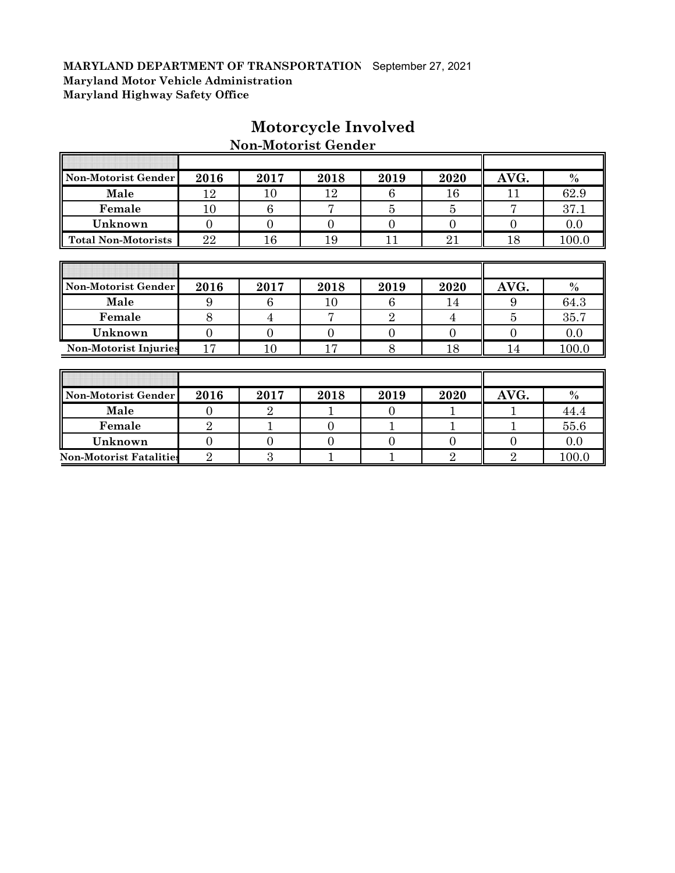| Non-Motorist Gender            | 2016           | 2017           | 2018           | 2019           | 2020           | AVG.           | $\%$          |
|--------------------------------|----------------|----------------|----------------|----------------|----------------|----------------|---------------|
| Male                           | 12             | 10             | 12             | 6              | 16             | 11             | 62.9          |
| Female                         | 10             | 6              | 7              | 5              | 5              | 7              | 37.1          |
| Unknown                        | $\overline{0}$ | $\overline{0}$ | $\overline{0}$ | $\theta$       | $\overline{0}$ | $\overline{0}$ | 0.0           |
| <b>Total Non-Motorists</b>     | 22             | 16             | 19             | 11             | 21             | 18             | 100.0         |
|                                |                |                |                |                |                |                |               |
|                                |                |                |                |                |                |                |               |
| Non-Motorist Gender            | 2016           | 2017           | 2018           | 2019           | 2020           | AVG.           | $\frac{0}{0}$ |
| Male                           | 9              | 6              | 10             | 6              | 14             | 9              | 64.3          |
| Female                         | 8              | 4              | 7              | $\overline{2}$ | 4              | $\overline{5}$ | 35.7          |
| Unknown                        | $\overline{0}$ | $\overline{0}$ | $\Omega$       | $\theta$       | $\overline{0}$ | $\overline{0}$ | 0.0           |
| <b>Non-Motorist Injuries</b>   | 17             | 10             | 17             | 8              | 18             | 14             | 100.0         |
|                                |                |                |                |                |                |                |               |
|                                |                |                |                |                |                |                |               |
| Non-Motorist Gender            | 2016           | 2017           | 2018           | 2019           | 2020           | AVG.           | $\frac{0}{0}$ |
| Male                           | $\overline{0}$ | $\overline{2}$ |                | $\theta$       |                |                | 44.4          |
| Female                         | $\overline{2}$ | $\mathbf 1$    | $\overline{0}$ | $\mathbf{1}$   |                | 1              | 55.6          |
| Unknown                        | $\overline{0}$ | $\overline{0}$ | $\Omega$       | $\overline{0}$ | $\overline{0}$ | $\overline{0}$ | 0.0           |
| <b>Non-Motorist Fatalities</b> | $\overline{2}$ | 3              |                |                | 2              | $\overline{2}$ | 100.0         |

# **Motorcycle Involved**

**Non-Motorist Gender**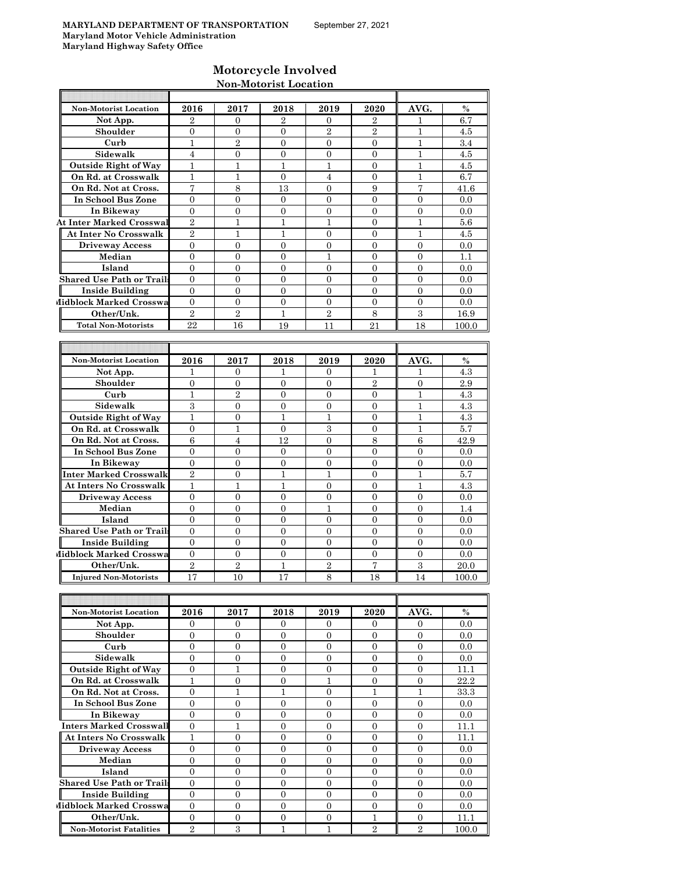## **Motorcycle Involved Non-Motorist Location**

| <b>Non-Motorist Location</b>                                    | 2016             | 2017             | 2018             | 2019                         | 2020                     | AVG.             | $\%$  |
|-----------------------------------------------------------------|------------------|------------------|------------------|------------------------------|--------------------------|------------------|-------|
| Not App.                                                        | $\overline{2}$   | 0                | 2                | 0                            | 2                        | 1                | 6.7   |
| Shoulder                                                        | $\mathbf{0}$     | $\overline{0}$   | $\overline{0}$   | $\overline{2}$               | $\overline{2}$           | $\mathbf{1}$     | 4.5   |
| Curb                                                            | 1                | $\overline{2}$   | $\overline{0}$   | $\overline{0}$               | $\overline{0}$           | 1                | 3.4   |
| Sidewalk                                                        | $\overline{4}$   | $\overline{0}$   | $\overline{0}$   | $\overline{0}$               | $\overline{0}$           | 1                | 4.5   |
| <b>Outside Right of Way</b>                                     | $\mathbf{1}$     | $\mathbf{1}$     | 1                | 1                            | $\Omega$                 | 1                | 4.5   |
| On Rd. at Crosswalk                                             | $\mathbf{1}$     | $\mathbf{1}$     | $\overline{0}$   | $\overline{4}$               | $\overline{0}$           | 1                | 6.7   |
| On Rd. Not at Cross.                                            | 7                | 8                | 13               | $\mathbf{0}$                 | 9                        | 7                | 41.6  |
| In School Bus Zone                                              | $\overline{0}$   | $\overline{0}$   | $\overline{0}$   | $\overline{0}$               | $\overline{0}$           | $\overline{0}$   | 0.0   |
|                                                                 | $\overline{0}$   | $\overline{0}$   | $\overline{0}$   | $\overline{0}$               | $\overline{0}$           | $\overline{0}$   | 0.0   |
| In Bikeway                                                      | $\overline{2}$   | $\mathbf{1}$     | 1                | 1                            | $\overline{0}$           | 1                |       |
| <b>At Inter Marked Crosswal</b><br><b>At Inter No Crosswalk</b> | $\overline{2}$   |                  |                  |                              |                          |                  | 5.6   |
|                                                                 | $\Omega$         | 1<br>$\Omega$    | 1                | $\mathbf{0}$                 | $\mathbf{0}$<br>$\Omega$ | 1<br>$\Omega$    | 4.5   |
| <b>Driveway Access</b>                                          |                  |                  | $\overline{0}$   | $\overline{0}$<br>1          |                          |                  | 0.0   |
| Median                                                          | $\boldsymbol{0}$ | $\overline{0}$   | $\overline{0}$   |                              | $\overline{0}$           | $\overline{0}$   | 1.1   |
| Island                                                          | $\overline{0}$   | $\mathbf{0}$     | 0                | $\mathbf{0}$                 | $\mathbf{0}$             | $\mathbf{0}$     | 0.0   |
| <b>Shared Use Path or Trails</b>                                | $\overline{0}$   | $\overline{0}$   | $\overline{0}$   | $\overline{0}$               | $\overline{0}$           | $\overline{0}$   | 0.0   |
| <b>Inside Building</b>                                          | $\mathbf{0}$     | $\overline{0}$   | $\overline{0}$   | $\overline{0}$               | $\overline{0}$           | $\overline{0}$   | 0.0   |
| Midblock Marked Crosswa                                         | $\mathbf{0}$     | $\overline{0}$   | $\overline{0}$   | $\overline{0}$               | $\overline{0}$           | $\overline{0}$   | 0.0   |
| Other/Unk.                                                      | $\overline{2}$   | $\sqrt{2}$       | 1                | $\overline{2}$               | 8                        | 3                | 16.9  |
| <b>Total Non-Motorists</b>                                      | 22               | 16               | 19               | 11                           | 21                       | 18               | 100.0 |
|                                                                 |                  |                  |                  |                              |                          |                  |       |
|                                                                 |                  |                  |                  |                              |                          |                  |       |
| <b>Non-Motorist Location</b>                                    | 2016             | 2017             | 2018             | 2019                         | 2020                     | AVG.             | $\%$  |
| Not App.                                                        | 1                | $\mathbf{0}$     | 1                | $\mathbf{0}$                 | 1                        | 1                | 4.3   |
| Shoulder                                                        | $\overline{0}$   | $\mathbf{0}$     | $\overline{0}$   | $\overline{0}$               | $\overline{2}$           | $\overline{0}$   | 2.9   |
| Curb                                                            | 1                | $\overline{2}$   | $\overline{0}$   | $\mathbf{0}$                 | $\overline{0}$           | 1                | 4.3   |
| Sidewalk                                                        | 3                | 0                | 0                | $\mathbf{0}$                 | 0                        | 1                | 4.3   |
| <b>Outside Right of Way</b>                                     | 1                | $\overline{0}$   | 1                | 1                            | $\overline{0}$           | $\mathbf{1}$     | 4.3   |
| On Rd. at Crosswalk                                             | $\overline{0}$   | $\mathbf{1}$     | $\overline{0}$   | 3                            | $\overline{0}$           | 1                | 5.7   |
| On Rd. Not at Cross.                                            | 6                | 4                | 12               | $\overline{0}$               | 8                        | 6                | 42.9  |
| In School Bus Zone                                              | $\overline{0}$   | $\overline{0}$   | 0                | $\mathbf{0}$                 | $\overline{0}$           | $\overline{0}$   | 0.0   |
| In Bikeway                                                      | $\overline{0}$   | $\mathbf{0}$     | $\overline{0}$   | $\mathbf{0}$                 | $\mathbf{0}$             | $\theta$         | 0.0   |
| Inter Marked Crosswalk                                          | $\overline{2}$   | $\mathbf{0}$     | $\mathbf{1}$     | $\mathbf{1}$                 | $\mathbf{0}$             | $\mathbf{1}$     | 5.7   |
| <b>At Inters No Crosswalk</b>                                   | 1                | 1                | 1                | $\mathbf{0}$                 | $\overline{0}$           | 1                | 4.3   |
| <b>Driveway Access</b>                                          | $\mathbf{0}$     | $\overline{0}$   | 0                | $\overline{0}$               | $\mathbf{0}$             | $\mathbf{0}$     | 0.0   |
| Median                                                          | $\theta$         | $\overline{0}$   | $\overline{0}$   | 1                            | $\overline{0}$           | $\overline{0}$   | 1.4   |
| Island                                                          | $\mathbf{0}$     | 0                | $\overline{0}$   | $\overline{0}$               | $\overline{0}$           | $\mathbf{0}$     | 0.0   |
| <b>Shared Use Path or Trails</b>                                | $\overline{0}$   | $\overline{0}$   | $\overline{0}$   | 0                            | $\overline{0}$           | $\overline{0}$   | 0.0   |
| <b>Inside Building</b>                                          | $\Omega$         | $\overline{0}$   | $\overline{0}$   | $\Omega$                     | $\Omega$                 | $\theta$         | 0.0   |
| Midblock Marked Crosswa                                         | $\overline{0}$   | $\mathbf{0}$     | $\overline{0}$   | $\overline{0}$               | $\overline{0}$           | $\overline{0}$   | 0.0   |
| Other/Unk.                                                      | $\overline{2}$   | $\overline{2}$   | 1                | $\overline{2}$               | 7                        | 3                | 20.0  |
| <b>Injured Non-Motorists</b>                                    | 17               | 10               | 17               | 8                            | 18                       | 14               | 100.0 |
|                                                                 |                  |                  |                  |                              |                          |                  |       |
|                                                                 |                  |                  |                  |                              |                          |                  |       |
| Non-Motorist Location                                           | 2016             | 2017             | 2018             | 2019                         | 2020                     | AVG.             | $\%$  |
|                                                                 | $\mathbf{0}$     | $\mathbf{0}$     | 0                | 0                            | $\overline{0}$           | $\mathbf{0}$     | 0.0   |
| Not App.<br>Shoulder                                            | $\overline{0}$   | $\overline{0}$   | $\overline{0}$   | $\overline{0}$               | $\mathbf{0}$             | $\mathbf{0}$     |       |
|                                                                 | $\mathbf{0}$     | $\boldsymbol{0}$ | $\boldsymbol{0}$ |                              | $\overline{0}$           | $\mathbf{0}$     | 0.0   |
| Curb                                                            |                  |                  |                  | $\boldsymbol{0}$             |                          |                  | 0.0   |
| Sidewalk                                                        | $\overline{0}$   | 0                | 0                | 0                            | $\overline{0}$           | $\overline{0}$   | 0.0   |
| <b>Outside Right of Way</b>                                     | $\overline{0}$   | $\mathbf{1}$     | $\boldsymbol{0}$ | $\mathbf{0}$<br>$\mathbf{1}$ | $\mathbf{0}$             | $\mathbf{0}$     | 11.1  |
| On Rd. at Crosswalk                                             | $\,1$            | $\boldsymbol{0}$ | $\boldsymbol{0}$ |                              | $\boldsymbol{0}$         | $\boldsymbol{0}$ | 22.2  |
| On Rd. Not at Cross.                                            | $\overline{0}$   | $\mathbf 1$      | 1                | $\boldsymbol{0}$             | $\mathbf{1}$             | $\mathbf{1}$     | 33.3  |
| In School Bus Zone                                              | $\overline{0}$   | 0                | 0                | 0                            | $\boldsymbol{0}$         | $\boldsymbol{0}$ | 0.0   |
| In Bikeway                                                      | $\overline{0}$   | $\overline{0}$   | $\overline{0}$   | $\overline{0}$               | $\mathbf{0}$             | $\mathbf{0}$     | 0.0   |
| Inters Marked Crosswall                                         | $\mathbf{0}$     | $\mathbf{1}$     | $\boldsymbol{0}$ | $\boldsymbol{0}$             | $\mathbf{0}$             | $\mathbf{0}$     | 11.1  |
| At Inters No Crosswalk                                          | $\mathbf{1}$     | 0                | 0                | 0                            | $\mathbf{0}$             | $\mathbf{0}$     | 11.1  |
| <b>Driveway Access</b>                                          | $\overline{0}$   | $\overline{0}$   | $\overline{0}$   | $\overline{0}$               | $\overline{0}$           | $\mathbf{0}$     | 0.0   |
| Median                                                          | $\boldsymbol{0}$ | $\boldsymbol{0}$ | $\boldsymbol{0}$ | $\overline{0}$               | $\boldsymbol{0}$         | $\mathbf{0}$     | 0.0   |
| Island                                                          | $\mathbf{0}$     | $\boldsymbol{0}$ | $\boldsymbol{0}$ | $\overline{0}$               | $\boldsymbol{0}$         | $\boldsymbol{0}$ | 0.0   |
| <b>Shared Use Path or Trails</b>                                | $\overline{0}$   | 0                | 0                | 0                            | $\boldsymbol{0}$         | $\mathbf{0}$     | 0.0   |
| <b>Inside Building</b>                                          | $\overline{0}$   | $\overline{0}$   | $\boldsymbol{0}$ | $\mathbf{0}$                 | $\overline{0}$           | $\overline{0}$   | 0.0   |
| Midblock Marked Crosswa                                         | $\mathbf{0}$     | $\overline{0}$   | $\overline{0}$   | $\mathbf{0}$                 | $\overline{0}$           | $\overline{0}$   | 0.0   |
| Other/Unk.                                                      | $\overline{0}$   | 0                | 0                | $\mathbf{0}$                 | $\mathbf{1}$             | $\mathbf{0}$     | 11.1  |
| <b>Non-Motorist Fatalities</b>                                  | $\overline{2}$   | 3                | $\mathbf{1}$     | $\mathbf{1}$                 | $\overline{2}$           | $\,2$            | 100.0 |